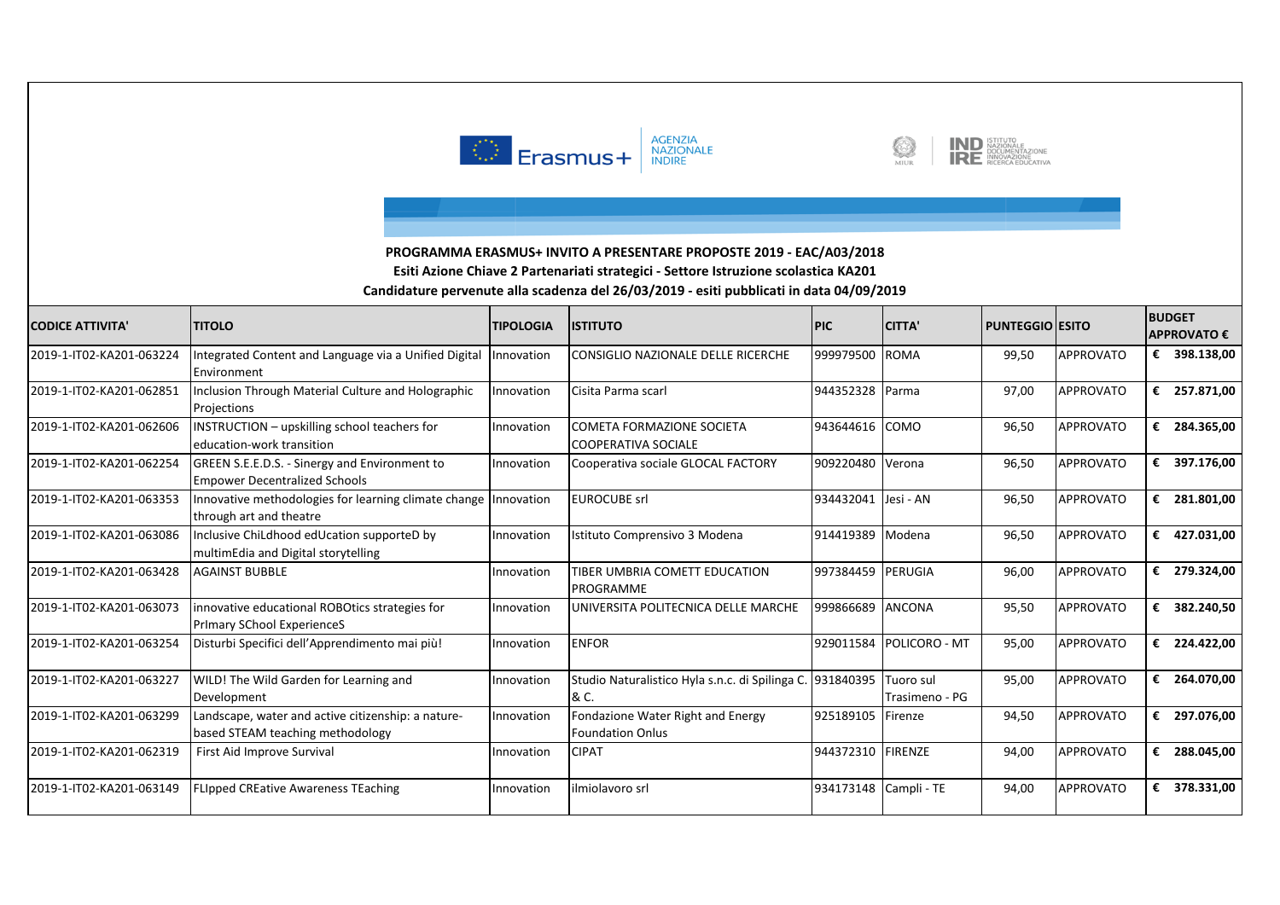





| <b>CODICE ATTIVITA'</b>  | <b>ITITOLO</b>                                                                               | <b>TIPOLOGIA</b> | <b>ISTITUTO</b>                                                   | <b>PIC</b> | <b>CITTA'</b>               | <b>PUNTEGGIO ESITO</b> |                  | <b>BUDGET</b> | ΑΡΡΡΟΝΑΤΟ € |
|--------------------------|----------------------------------------------------------------------------------------------|------------------|-------------------------------------------------------------------|------------|-----------------------------|------------------------|------------------|---------------|-------------|
| 2019-1-IT02-KA201-063224 | Integrated Content and Language via a Unified Digital<br>Environment                         | Innovation       | CONSIGLIO NAZIONALE DELLE RICERCHE                                | 999979500  | <b>ROMA</b>                 | 99,50                  | <b>APPROVATO</b> | €             | 398.138,00  |
| 2019-1-IT02-KA201-062851 | Inclusion Through Material Culture and Holographic<br>Projections                            | Innovation       | Cisita Parma scarl                                                | 944352328  | Parma                       | 97,00                  | <b>APPROVATO</b> | €             | 257.871,00  |
| 2019-1-IT02-KA201-062606 | INSTRUCTION - upskilling school teachers for<br>education-work transition                    | Innovation       | COMETA FORMAZIONE SOCIETA<br>COOPERATIVA SOCIALE                  | 943644616  | <b>COMO</b>                 | 96,50                  | APPROVATO        | €             | 284.365,00  |
| 2019-1-IT02-KA201-062254 | GREEN S.E.E.D.S. - Sinergy and Environment to<br><b>Empower Decentralized Schools</b>        | Innovation       | Cooperativa sociale GLOCAL FACTORY                                | 909220480  | Verona                      | 96,50                  | <b>APPROVATO</b> | €             | 397.176,00  |
| 2019-1-IT02-KA201-063353 | Innovative methodologies for learning climate change   Innovation<br>through art and theatre |                  | <b>EUROCUBE srl</b>                                               | 934432041  | Jesi - AN                   | 96,50                  | <b>APPROVATO</b> | €             | 281.801,00  |
| 2019-1-IT02-KA201-063086 | Inclusive ChiLdhood edUcation supporteD by<br>multimEdia and Digital storytelling            | Innovation       | Istituto Comprensivo 3 Modena                                     | 914419389  | Modena                      | 96,50                  | <b>APPROVATO</b> | €             | 427.031,00  |
| 2019-1-IT02-KA201-063428 | lAGAINST BUBBLE                                                                              | Innovation       | TIBER UMBRIA COMETT EDUCATION<br>PROGRAMME                        | 997384459  | PERUGIA                     | 96,00                  | APPROVATO        | €             | 279.324,00  |
| 2019-1-IT02-KA201-063073 | innovative educational ROBOtics strategies for<br><b>Primary SChool ExperienceS</b>          | Innovation       | UNIVERSITA POLITECNICA DELLE MARCHE                               | 999866689  | <b>ANCONA</b>               | 95,50                  | <b>APPROVATO</b> | €             | 382.240,50  |
| 2019-1-IT02-KA201-063254 | Disturbi Specifici dell'Apprendimento mai più!                                               | Innovation       | <b>ENFOR</b>                                                      | 929011584  | POLICORO - MT               | 95,00                  | <b>APPROVATO</b> | €             | 224.422,00  |
| 2019-1-IT02-KA201-063227 | WILD! The Wild Garden for Learning and<br>Development                                        | Innovation       | Studio Naturalistico Hyla s.n.c. di Spilinga C. 931840395<br>& C. |            | Tuoro sul<br>Trasimeno - PG | 95,00                  | <b>APPROVATO</b> | €             | 264.070,00  |
| 2019-1-IT02-KA201-063299 | Landscape, water and active citizenship: a nature-<br>based STEAM teaching methodology       | Innovation       | Fondazione Water Right and Energy<br><b>Foundation Onlus</b>      | 925189105  | Firenze                     | 94,50                  | <b>APPROVATO</b> | €             | 297.076,00  |
| 2019-1-IT02-KA201-062319 | First Aid Improve Survival                                                                   | Innovation       | <b>CIPAT</b>                                                      | 944372310  | <b>FIRENZE</b>              | 94,00                  | <b>APPROVATO</b> | €             | 288.045,00  |
| 2019-1-IT02-KA201-063149 | <b>FLIpped CREative Awareness TEaching</b>                                                   | Innovation       | ilmiolavoro srl                                                   | 934173148  | Campli - TE                 | 94,00                  | APPROVATO        | €             | 378.331,00  |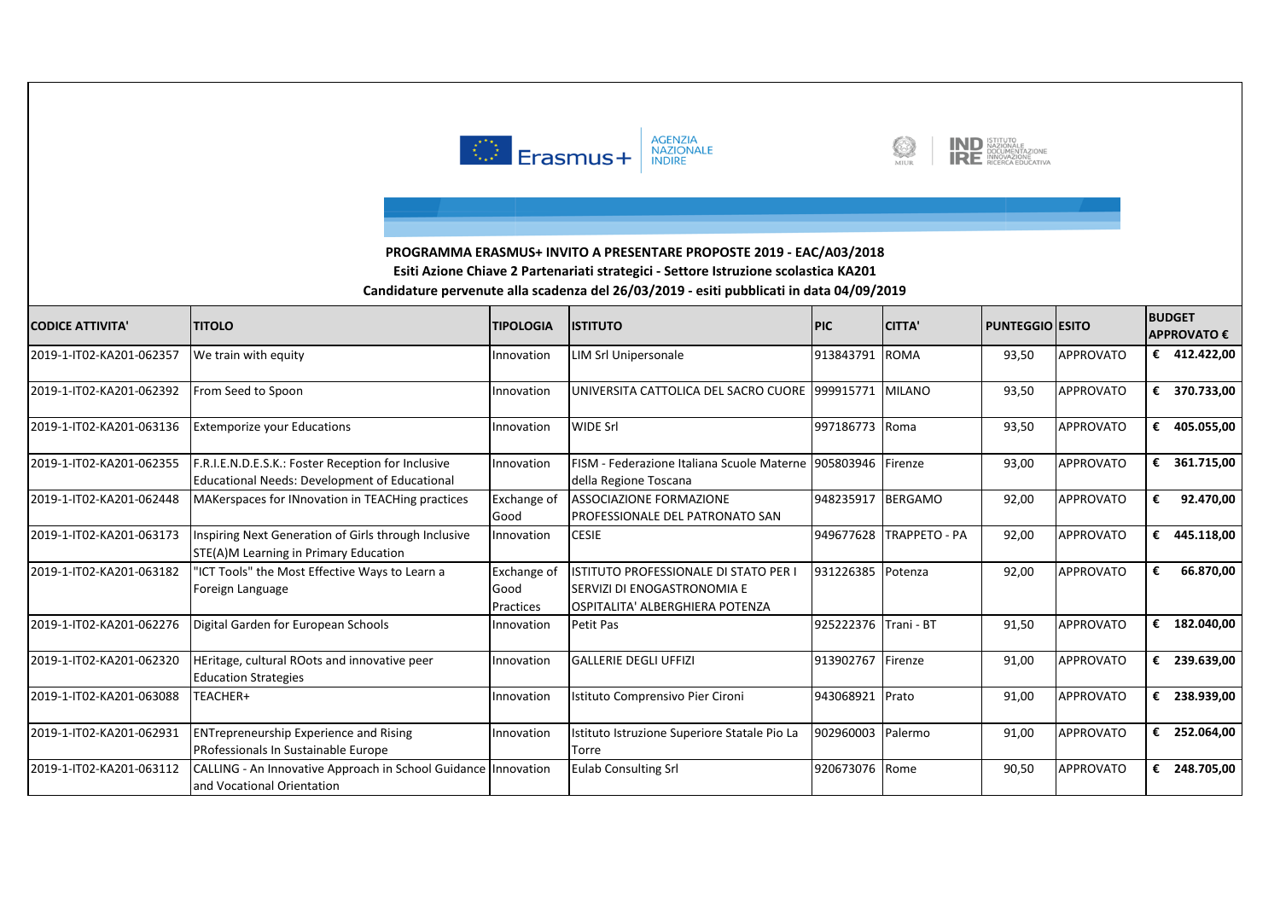





| <b>CODICE ATTIVITA'</b>  | <b>TITOLO</b>                                                                                              | <b>TIPOLOGIA</b>                 | <b>ISTITUTO</b>                                                                                         | <b>PIC</b> | <b>CITTA'</b>        | <b>PUNTEGGIO ESITO</b> |                  |   | <b>BUDGET</b><br><b>APPROVATO €</b> |
|--------------------------|------------------------------------------------------------------------------------------------------------|----------------------------------|---------------------------------------------------------------------------------------------------------|------------|----------------------|------------------------|------------------|---|-------------------------------------|
| 2019-1-IT02-KA201-062357 | We train with equity                                                                                       | Innovation                       | <b>LIM Srl Unipersonale</b>                                                                             | 913843791  | <b>ROMA</b>          | 93,50                  | <b>APPROVATO</b> | € | 412.422,00                          |
| 2019-1-IT02-KA201-062392 | From Seed to Spoon                                                                                         | Innovation                       | UNIVERSITA CATTOLICA DEL SACRO CUORE 1999915771                                                         |            | <b>MILANO</b>        | 93,50                  | <b>APPROVATO</b> | € | 370.733,00                          |
| 2019-1-IT02-KA201-063136 | <b>Extemporize your Educations</b>                                                                         | Innovation                       | <b>WIDE Srl</b>                                                                                         | 997186773  | Roma                 | 93,50                  | <b>APPROVATO</b> | € | 405.055,00                          |
| 2019-1-IT02-KA201-062355 | F.R.I.E.N.D.E.S.K.: Foster Reception for Inclusive<br><b>Educational Needs: Development of Educational</b> | Innovation                       | FISM - Federazione Italiana Scuole Materne 1905803946<br>della Regione Toscana                          |            | Firenze              | 93.00                  | <b>APPROVATO</b> | € | 361.715,00                          |
| 2019-1-IT02-KA201-062448 | MAKerspaces for INnovation in TEACHing practices                                                           | Exchange of<br>Good              | <b>ASSOCIAZIONE FORMAZIONE</b><br>PROFESSIONALE DEL PATRONATO SAN                                       | 948235917  | <b>BERGAMO</b>       | 92,00                  | <b>APPROVATO</b> | € | 92.470,00                           |
| 2019-1-IT02-KA201-063173 | Inspiring Next Generation of Girls through Inclusive<br>STE(A)M Learning in Primary Education              | Innovation                       | <b>CESIE</b>                                                                                            | 949677628  | <b>TRAPPETO - PA</b> | 92,00                  | <b>APPROVATO</b> | € | 445.118,00                          |
| 2019-1-IT02-KA201-063182 | 'ICT Tools" the Most Effective Ways to Learn a<br>Foreign Language                                         | Exchange of<br>Good<br>Practices | ISTITUTO PROFESSIONALE DI STATO PER I<br>SERVIZI DI ENOGASTRONOMIA E<br>OSPITALITA' ALBERGHIERA POTENZA | 931226385  | Potenza              | 92,00                  | <b>APPROVATO</b> | € | 66.870,00                           |
| 2019-1-IT02-KA201-062276 | Digital Garden for European Schools                                                                        | Innovation                       | Petit Pas                                                                                               | 925222376  | Trani - BT           | 91,50                  | <b>APPROVATO</b> | € | 182.040,00                          |
| 2019-1-IT02-KA201-062320 | HEritage, cultural ROots and innovative peer<br><b>Education Strategies</b>                                | Innovation                       | <b>GALLERIE DEGLI UFFIZI</b>                                                                            | 913902767  | Firenze              | 91,00                  | APPROVATO        | € | 239.639,00                          |
| 2019-1-IT02-KA201-063088 | TEACHER+                                                                                                   | Innovation                       | Istituto Comprensivo Pier Cironi                                                                        | 943068921  | Prato                | 91,00                  | <b>APPROVATO</b> | € | 238.939,00                          |
| 2019-1-IT02-KA201-062931 | <b>ENTrepreneurship Experience and Rising</b><br>PRofessionals In Sustainable Europe                       | Innovation                       | Istituto Istruzione Superiore Statale Pio La<br>Torre                                                   | 902960003  | Palermo              | 91,00                  | <b>APPROVATO</b> | € | 252.064,00                          |
| 2019-1-IT02-KA201-063112 | CALLING - An Innovative Approach in School Guidance<br>and Vocational Orientation                          | Innovation                       | <b>Eulab Consulting Srl</b>                                                                             | 920673076  | Rome                 | 90,50                  | <b>APPROVATO</b> | € | 248.705,00                          |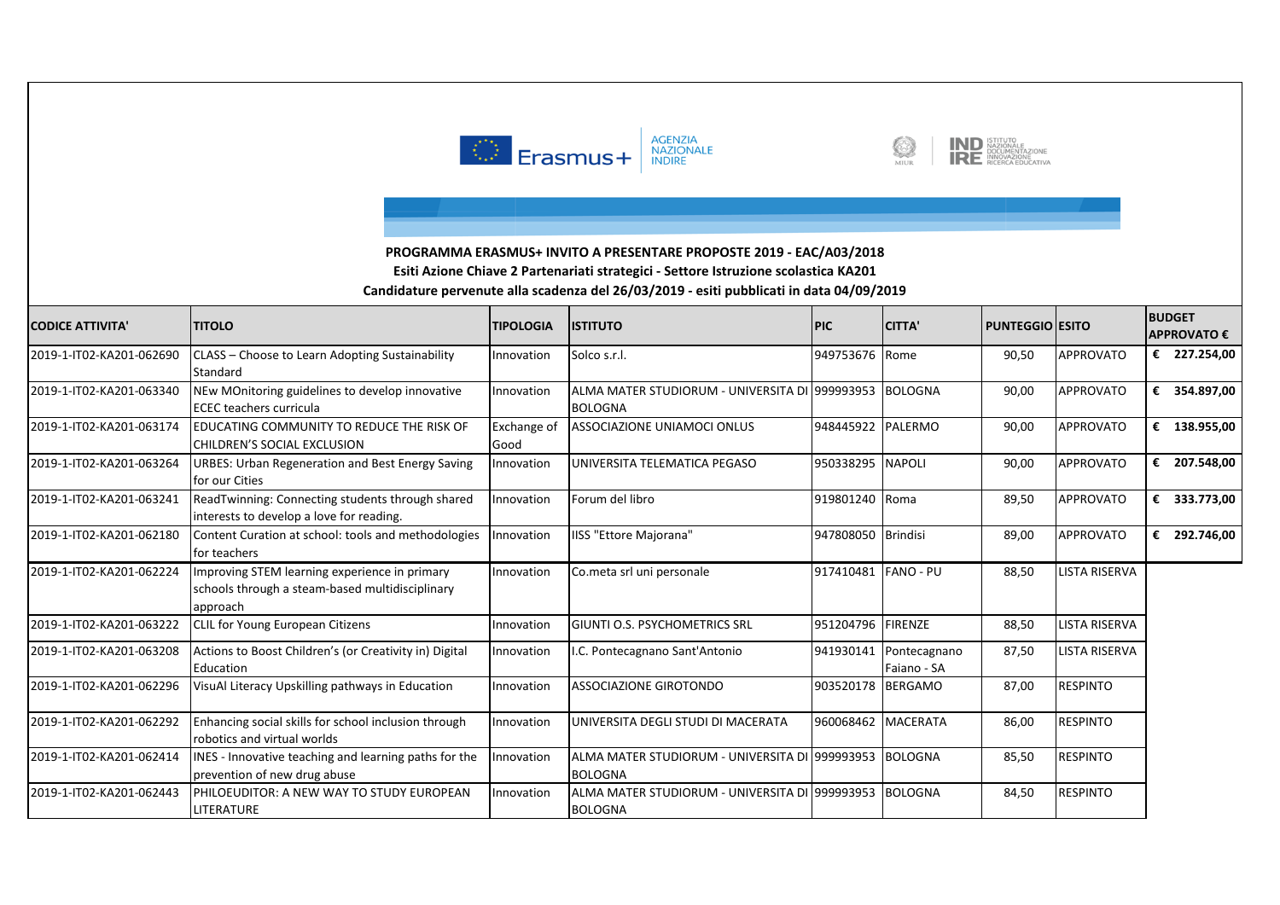





| <b>CODICE ATTIVITA'</b>  | <b>TITOLO</b>                                                                                                | <b>TIPOLOGIA</b>    | <b>ISTITUTO</b>                                                   | <b>PIC</b>     | <b>CITTA'</b>               | <b>PUNTEGGIO ESITO</b> |                      |   | <b>BUDGET</b><br><b>APPROVATO €</b> |
|--------------------------|--------------------------------------------------------------------------------------------------------------|---------------------|-------------------------------------------------------------------|----------------|-----------------------------|------------------------|----------------------|---|-------------------------------------|
| 2019-1-IT02-KA201-062690 | CLASS - Choose to Learn Adopting Sustainability<br><b>Standard</b>                                           | Innovation          | Solco s.r.l.                                                      | 949753676 Rome |                             | 90,50                  | APPROVATO            |   | € 227.254,00                        |
| 2019-1-IT02-KA201-063340 | NEw MOnitoring guidelines to develop innovative<br><b>ECEC</b> teachers curricula                            | Innovation          | ALMA MATER STUDIORUM - UNIVERSITA DI 1999993953<br><b>BOLOGNA</b> |                | <b>BOLOGNA</b>              | 90.00                  | <b>APPROVATO</b>     | € | 354.897,00                          |
| 2019-1-IT02-KA201-063174 | <b>IEDUCATING COMMUNITY TO REDUCE THE RISK OF</b><br>CHILDREN'S SOCIAL EXCLUSION                             | Exchange of<br>Good | <b>ASSOCIAZIONE UNIAMOCI ONLUS</b>                                | 948445922      | PALERMO                     | 90,00                  | <b>APPROVATO</b>     | € | 138.955,00                          |
| 2019-1-IT02-KA201-063264 | <b>URBES: Urban Regeneration and Best Energy Saving</b><br>for our Cities                                    | Innovation          | UNIVERSITA TELEMATICA PEGASO                                      | 950338295      | <b>NAPOLI</b>               | 90,00                  | <b>APPROVATO</b>     | € | 207.548,00                          |
| 2019-1-IT02-KA201-063241 | ReadTwinning: Connecting students through shared<br>interests to develop a love for reading.                 | Innovation          | Forum del libro                                                   | 919801240      | Roma                        | 89,50                  | APPROVATO            | € | 333.773,00                          |
| 2019-1-IT02-KA201-062180 | Content Curation at school: tools and methodologies<br><b>Ifor teachers</b>                                  | nnovation           | <b>IISS "Ettore Majorana"</b>                                     | 947808050      | <b>Brindisi</b>             | 89,00                  | <b>APPROVATO</b>     | € | 292.746,00                          |
| 2019-1-IT02-KA201-062224 | Improving STEM learning experience in primary<br>schools through a steam-based multidisciplinary<br>approach | Innovation          | Co.meta srl uni personale                                         | 917410481      | <b>FANO - PU</b>            | 88,50                  | <b>LISTA RISERVA</b> |   |                                     |
| 2019-1-IT02-KA201-063222 | <b>CLIL for Young European Citizens</b>                                                                      | Innovation          | <b>GIUNTI O.S. PSYCHOMETRICS SRL</b>                              | 951204796      | <b>FIRENZE</b>              | 88,50                  | <b>LISTA RISERVA</b> |   |                                     |
| 2019-1-IT02-KA201-063208 | Actions to Boost Children's (or Creativity in) Digital<br>Education                                          | Innovation          | .C. Pontecagnano Sant'Antonio                                     | 941930141      | Pontecagnano<br>Faiano - SA | 87,50                  | <b>LISTA RISERVA</b> |   |                                     |
| 2019-1-IT02-KA201-062296 | VisuAl Literacy Upskilling pathways in Education                                                             | Innovation          | <b>ASSOCIAZIONE GIROTONDO</b>                                     | 903520178      | <b>BERGAMO</b>              | 87,00                  | <b>RESPINTO</b>      |   |                                     |
| 2019-1-IT02-KA201-062292 | Enhancing social skills for school inclusion through<br>robotics and virtual worlds                          | Innovation          | UNIVERSITA DEGLI STUDI DI MACERATA                                | 960068462      | <b>MACERATA</b>             | 86,00                  | <b>RESPINTO</b>      |   |                                     |
| 2019-1-IT02-KA201-062414 | INES - Innovative teaching and learning paths for the<br>prevention of new drug abuse                        | nnovation           | ALMA MATER STUDIORUM - UNIVERSITA DI 1999993953<br><b>BOLOGNA</b> |                | <b>BOLOGNA</b>              | 85,50                  | <b>RESPINTO</b>      |   |                                     |
| 2019-1-IT02-KA201-062443 | <b>IPHILOEUDITOR: A NEW WAY TO STUDY EUROPEAN</b><br><b>LITERATURE</b>                                       | Innovation          | ALMA MATER STUDIORUM - UNIVERSITA DI 1999993953<br><b>BOLOGNA</b> |                | <b>BOLOGNA</b>              | 84,50                  | <b>RESPINTO</b>      |   |                                     |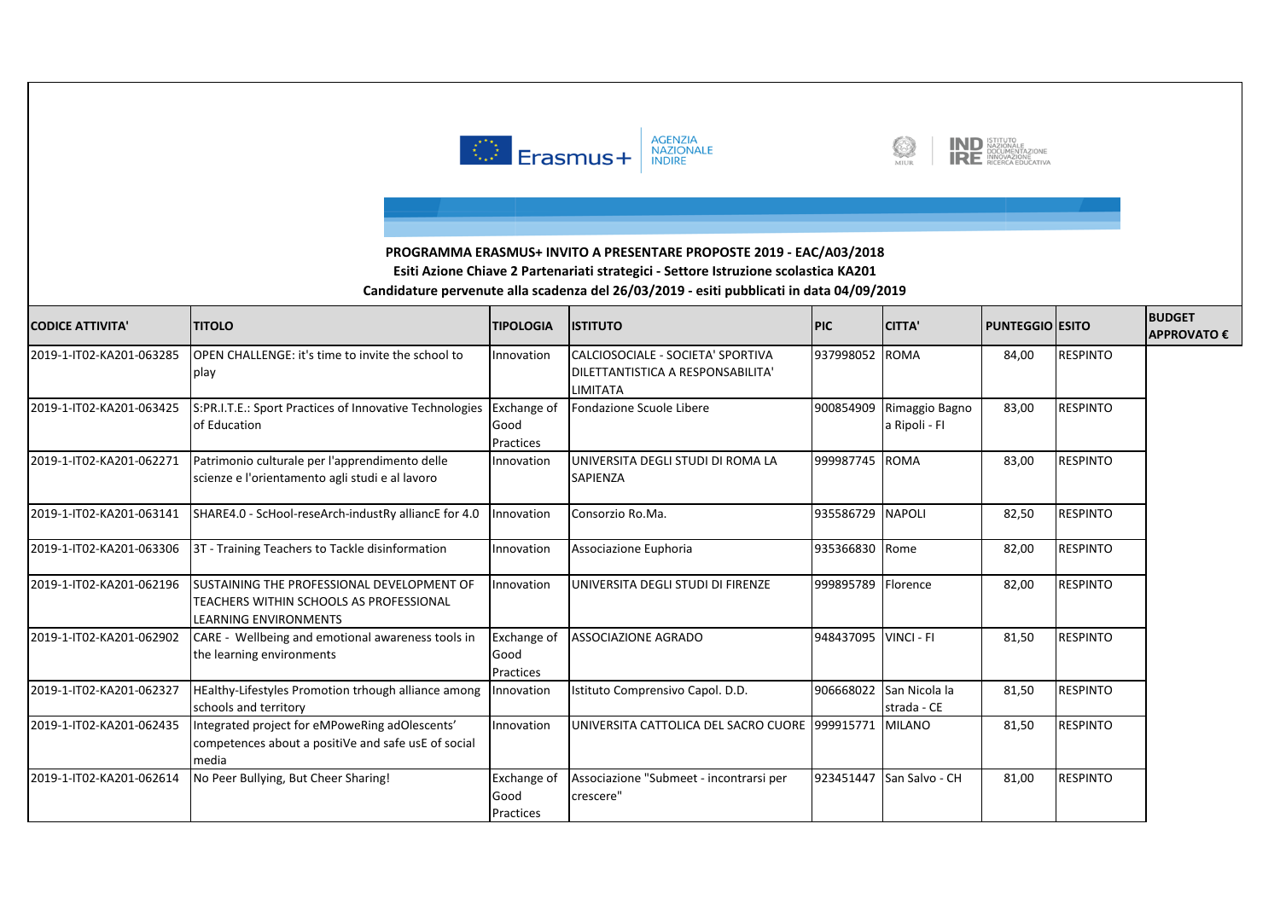





| <b>CODICE ATTIVITA'</b>  | <b>TITOLO</b>                                                                                                  | <b>TIPOLOGIA</b>                        | <b>ISTITUTO</b>                                                                           | <b>PIC</b>           | <b>CITTA'</b>                   | <b>PUNTEGGIO ESITO</b> |                 | <b>BUDGET</b><br><b>APPROVATO€</b> |
|--------------------------|----------------------------------------------------------------------------------------------------------------|-----------------------------------------|-------------------------------------------------------------------------------------------|----------------------|---------------------------------|------------------------|-----------------|------------------------------------|
| 2019-1-IT02-KA201-063285 | OPEN CHALLENGE: it's time to invite the school to<br>play                                                      | Innovation                              | CALCIOSOCIALE - SOCIETA' SPORTIVA<br>DILETTANTISTICA A RESPONSABILITA'<br><b>LIMITATA</b> | 937998052 ROMA       |                                 | 84,00                  | <b>RESPINTO</b> |                                    |
| 2019-1-IT02-KA201-063425 | S:PR.I.T.E.: Sport Practices of Innovative Technologies<br>of Education                                        | <b>Exchange of</b><br>Good<br>Practices | Fondazione Scuole Libere                                                                  | 900854909            | Rimaggio Bagno<br>a Ripoli - Fl | 83,00                  | <b>RESPINTO</b> |                                    |
| 2019-1-IT02-KA201-062271 | Patrimonio culturale per l'apprendimento delle<br>scienze e l'orientamento agli studi e al lavoro              | Innovation                              | UNIVERSITA DEGLI STUDI DI ROMA LA<br>SAPIENZA                                             | 999987745 ROMA       |                                 | 83,00                  | <b>RESPINTO</b> |                                    |
| 2019-1-IT02-KA201-063141 | SHARE4.0 - ScHool-reseArch-industRy alliancE for 4.0                                                           | Innovation                              | Consorzio Ro.Ma.                                                                          | 935586729 NAPOLI     |                                 | 82,50                  | <b>RESPINTO</b> |                                    |
| 2019-1-IT02-KA201-063306 | 3T - Training Teachers to Tackle disinformation                                                                | Innovation                              | Associazione Euphoria                                                                     | 935366830 Rome       |                                 | 82,00                  | <b>RESPINTO</b> |                                    |
| 2019-1-IT02-KA201-062196 | SUSTAINING THE PROFESSIONAL DEVELOPMENT OF<br>TEACHERS WITHIN SCHOOLS AS PROFESSIONAL<br>LEARNING ENVIRONMENTS | Innovation                              | UNIVERSITA DEGLI STUDI DI FIRENZE                                                         | 999895789            | <b>Florence</b>                 | 82,00                  | <b>RESPINTO</b> |                                    |
| 2019-1-IT02-KA201-062902 | CARE - Wellbeing and emotional awareness tools in<br>the learning environments                                 | <b>Exchange of</b><br>Good<br>Practices | <b>ASSOCIAZIONE AGRADO</b>                                                                | 948437095 VINCI - FI |                                 | 81,50                  | <b>RESPINTO</b> |                                    |
| 2019-1-IT02-KA201-062327 | HEalthy-Lifestyles Promotion trhough alliance among<br>schools and territory                                   | Innovation                              | Istituto Comprensivo Capol. D.D.                                                          | 906668022            | San Nicola la<br>strada - CE    | 81,50                  | <b>RESPINTO</b> |                                    |
| 2019-1-IT02-KA201-062435 | Integrated project for eMPoweRing adOlescents'<br>competences about a positiVe and safe usE of social<br>media | Innovation                              | UNIVERSITA CATTOLICA DEL SACRO CUORE 1999915771                                           |                      | <b>MILANO</b>                   | 81,50                  | <b>RESPINTO</b> |                                    |
| 2019-1-IT02-KA201-062614 | No Peer Bullying, But Cheer Sharing!                                                                           | Exchange of<br>Good<br>Practices        | Associazione "Submeet - incontrarsi per<br>crescere"                                      | 923451447            | San Salvo - CH                  | 81,00                  | <b>RESPINTO</b> |                                    |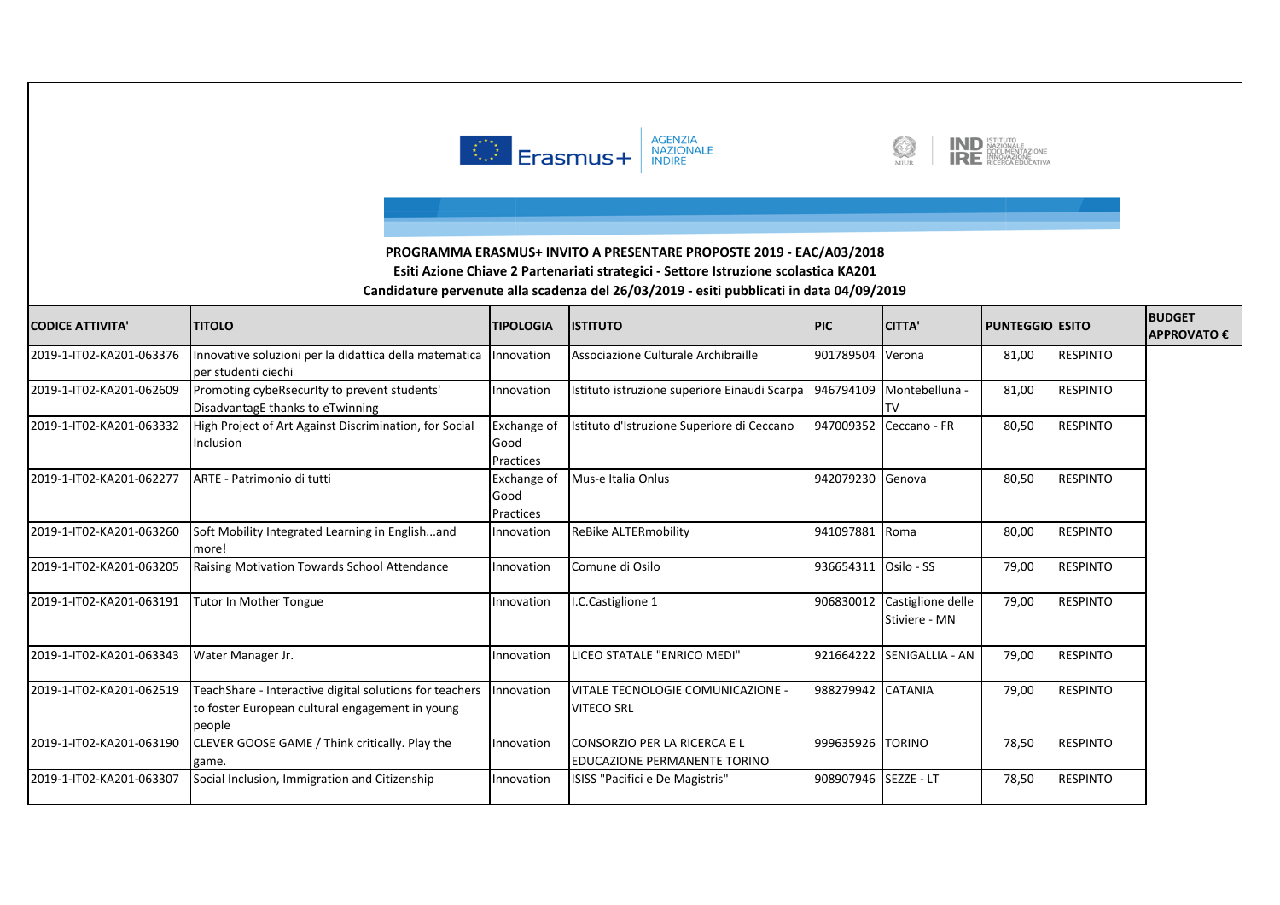





| <b>CODICE ATTIVITA'</b>  | <b>TITOLO</b>                                                                                                        | <b>TIPOLOGIA</b>                 | <b>ISTITUTO</b>                                              | <b>PIC</b>       | <b>CITTA'</b>                      | <b>PUNTEGGIO ESITO</b> |                 | <b>BUDGET</b><br><b>APPROVATO€</b> |
|--------------------------|----------------------------------------------------------------------------------------------------------------------|----------------------------------|--------------------------------------------------------------|------------------|------------------------------------|------------------------|-----------------|------------------------------------|
| 2019-1-IT02-KA201-063376 | nnovative soluzioni per la didattica della matematica<br>per studenti ciechi                                         | Innovation                       | Associazione Culturale Archibraille                          | 901789504 Verona |                                    | 81,00                  | <b>RESPINTO</b> |                                    |
| 2019-1-IT02-KA201-062609 | Promoting cybeRsecurlty to prevent students'<br>DisadvantagE thanks to eTwinning                                     | Innovation                       | Istituto istruzione superiore Einaudi Scarpa                 | 946794109        | Montebelluna -<br>TV               | 81,00                  | <b>RESPINTO</b> |                                    |
| 2019-1-IT02-KA201-063332 | High Project of Art Against Discrimination, for Social<br>Inclusion                                                  | Exchange of<br>Good<br>Practices | Istituto d'Istruzione Superiore di Ceccano                   | 947009352        | Ceccano - FR                       | 80,50                  | <b>RESPINTO</b> |                                    |
| 2019-1-IT02-KA201-062277 | ARTE - Patrimonio di tutti                                                                                           | Exchange of<br>Good<br>Practices | Mus-e Italia Onlus                                           | 942079230        | Genova                             | 80,50                  | <b>RESPINTO</b> |                                    |
| 2019-1-IT02-KA201-063260 | Soft Mobility Integrated Learning in Englishand<br>more!                                                             | Innovation                       | <b>ReBike ALTERmobility</b>                                  | 941097881        | Roma                               | 80,00                  | <b>RESPINTO</b> |                                    |
| 2019-1-IT02-KA201-063205 | Raising Motivation Towards School Attendance                                                                         | Innovation                       | Comune di Osilo                                              | 936654311        | Osilo - SS                         | 79,00                  | <b>RESPINTO</b> |                                    |
| 2019-1-IT02-KA201-063191 | <b>Tutor In Mother Tongue</b>                                                                                        | Innovation                       | I.C.Castiglione 1                                            | 906830012        | Castiglione delle<br>Stiviere - MN | 79,00                  | <b>RESPINTO</b> |                                    |
| 2019-1-IT02-KA201-063343 | Water Manager Jr.                                                                                                    | Innovation                       | LICEO STATALE "ENRICO MEDI"                                  | 921664222        | SENIGALLIA - AN                    | 79,00                  | <b>RESPINTO</b> |                                    |
| 2019-1-IT02-KA201-062519 | TeachShare - Interactive digital solutions for teachers<br>to foster European cultural engagement in young<br>people | Innovation                       | VITALE TECNOLOGIE COMUNICAZIONE -<br><b>VITECO SRL</b>       | 988279942        | <b>CATANIA</b>                     | 79,00                  | <b>RESPINTO</b> |                                    |
| 2019-1-IT02-KA201-063190 | CLEVER GOOSE GAME / Think critically. Play the<br>game.                                                              | Innovation                       | CONSORZIO PER LA RICERCA E L<br>EDUCAZIONE PERMANENTE TORINO | 999635926        | <b>TORINO</b>                      | 78,50                  | <b>RESPINTO</b> |                                    |
| 2019-1-IT02-KA201-063307 | Social Inclusion, Immigration and Citizenship                                                                        | Innovation                       | ISISS "Pacifici e De Magistris"                              | 908907946        | SEZZE - LT                         | 78,50                  | <b>RESPINTO</b> |                                    |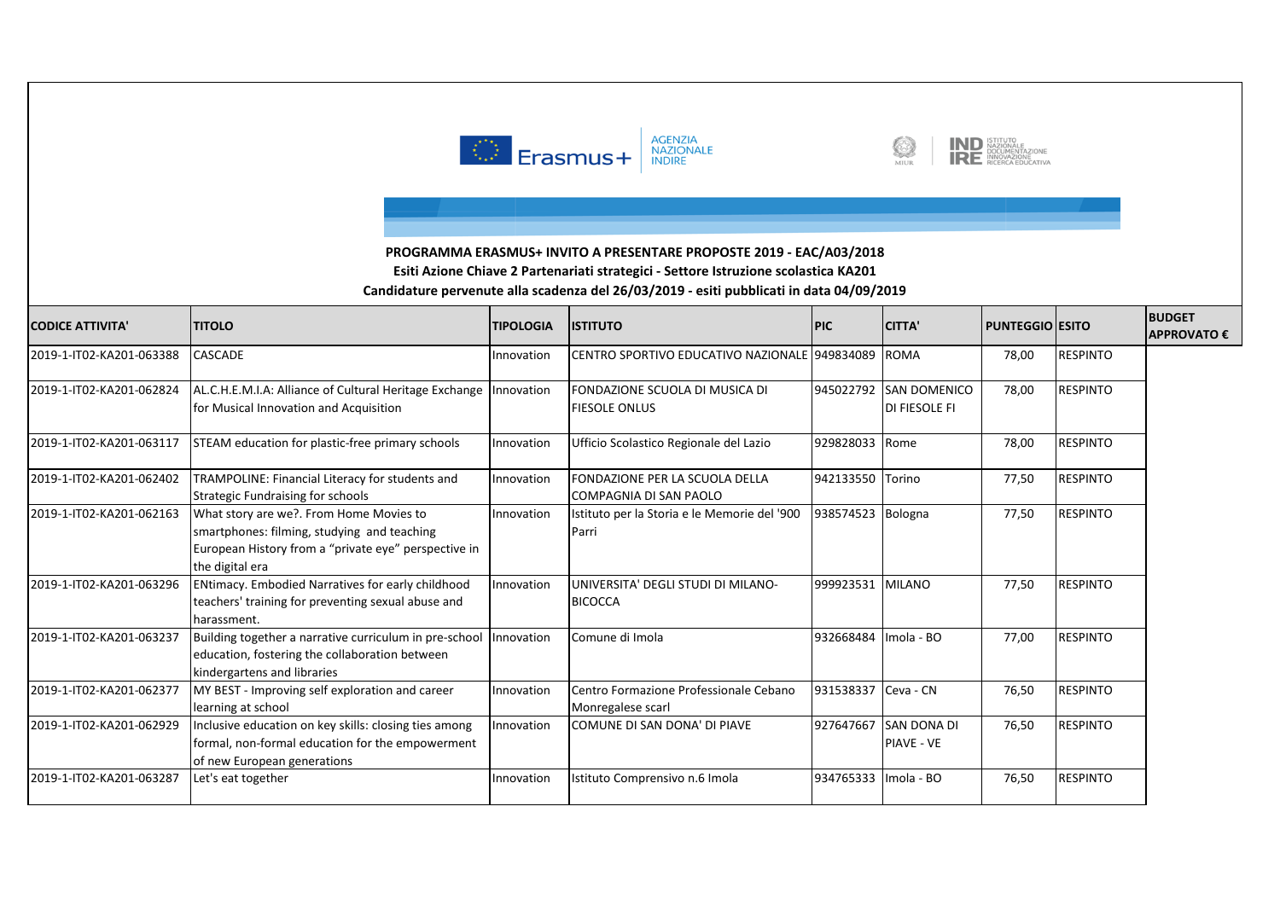





| <b>CODICE ATTIVITA</b>   | <b>TITOLO</b>                                                                                                                                                     | <b>TIPOLOGIA</b> | <b>ISTITUTO</b>                                             | <b>PIC</b>        | <b>CITTA'</b>                               | PUNTEGGIO   ESITO |                 | <b>BUDGET</b><br><b>APPROVATO€</b> |
|--------------------------|-------------------------------------------------------------------------------------------------------------------------------------------------------------------|------------------|-------------------------------------------------------------|-------------------|---------------------------------------------|-------------------|-----------------|------------------------------------|
| 2019-1-IT02-KA201-063388 | CASCADE                                                                                                                                                           | Innovation       | CENTRO SPORTIVO EDUCATIVO NAZIONALE 949834089               |                   | <b>ROMA</b>                                 | 78,00             | <b>RESPINTO</b> |                                    |
| 2019-1-IT02-KA201-062824 | AL.C.H.E.M.I.A: Alliance of Cultural Heritage Exchange<br>for Musical Innovation and Acquisition                                                                  | Innovation       | FONDAZIONE SCUOLA DI MUSICA DI<br><b>FIESOLE ONLUS</b>      | 945022792         | <b>SAN DOMENICO</b><br><b>DI FIESOLE FI</b> | 78,00             | <b>RESPINTO</b> |                                    |
| 2019-1-IT02-KA201-063117 | STEAM education for plastic-free primary schools                                                                                                                  | Innovation       | Ufficio Scolastico Regionale del Lazio                      | 929828033         | Rome                                        | 78,00             | <b>RESPINTO</b> |                                    |
| 2019-1-IT02-KA201-062402 | TRAMPOLINE: Financial Literacy for students and<br><b>Strategic Fundraising for schools</b>                                                                       | Innovation       | FONDAZIONE PER LA SCUOLA DELLA<br>COMPAGNIA DI SAN PAOLO    | 942133550         | Torino                                      | 77,50             | <b>RESPINTO</b> |                                    |
| 2019-1-IT02-KA201-062163 | What story are we?. From Home Movies to<br>smartphones: filming, studying and teaching<br>European History from a "private eye" perspective in<br>the digital era | Innovation       | Istituto per la Storia e le Memorie del '900<br>Parri       | 938574523 Bologna |                                             | 77,50             | <b>RESPINTO</b> |                                    |
| 2019-1-IT02-KA201-063296 | ENtimacy. Embodied Narratives for early childhood<br>teachers' training for preventing sexual abuse and<br>harassment.                                            | Innovation       | UNIVERSITA' DEGLI STUDI DI MILANO-<br><b>BICOCCA</b>        | 999923531         | <b>MILANO</b>                               | 77,50             | <b>RESPINTO</b> |                                    |
| 2019-1-IT02-KA201-063237 | Building together a narrative curriculum in pre-school<br>education, fostering the collaboration between<br>kindergartens and libraries                           | Innovation       | Comune di Imola                                             | 932668484         | Imola - BO                                  | 77,00             | <b>RESPINTO</b> |                                    |
| 2019-1-IT02-KA201-062377 | MY BEST - Improving self exploration and career<br>learning at school                                                                                             | Innovation       | Centro Formazione Professionale Cebano<br>Monregalese scarl | 931538337         | Ceva - CN                                   | 76,50             | <b>RESPINTO</b> |                                    |
| 2019-1-IT02-KA201-062929 | Inclusive education on key skills: closing ties among<br>formal, non-formal education for the empowerment<br>of new European generations                          | Innovation       | COMUNE DI SAN DONA' DI PIAVE                                | 927647667         | SAN DONA DI<br>PIAVE - VE                   | 76,50             | <b>RESPINTO</b> |                                    |
| 2019-1-IT02-KA201-063287 | Let's eat together                                                                                                                                                | Innovation       | Istituto Comprensivo n.6 Imola                              | 934765333         | Imola - BO                                  | 76,50             | <b>RESPINTO</b> |                                    |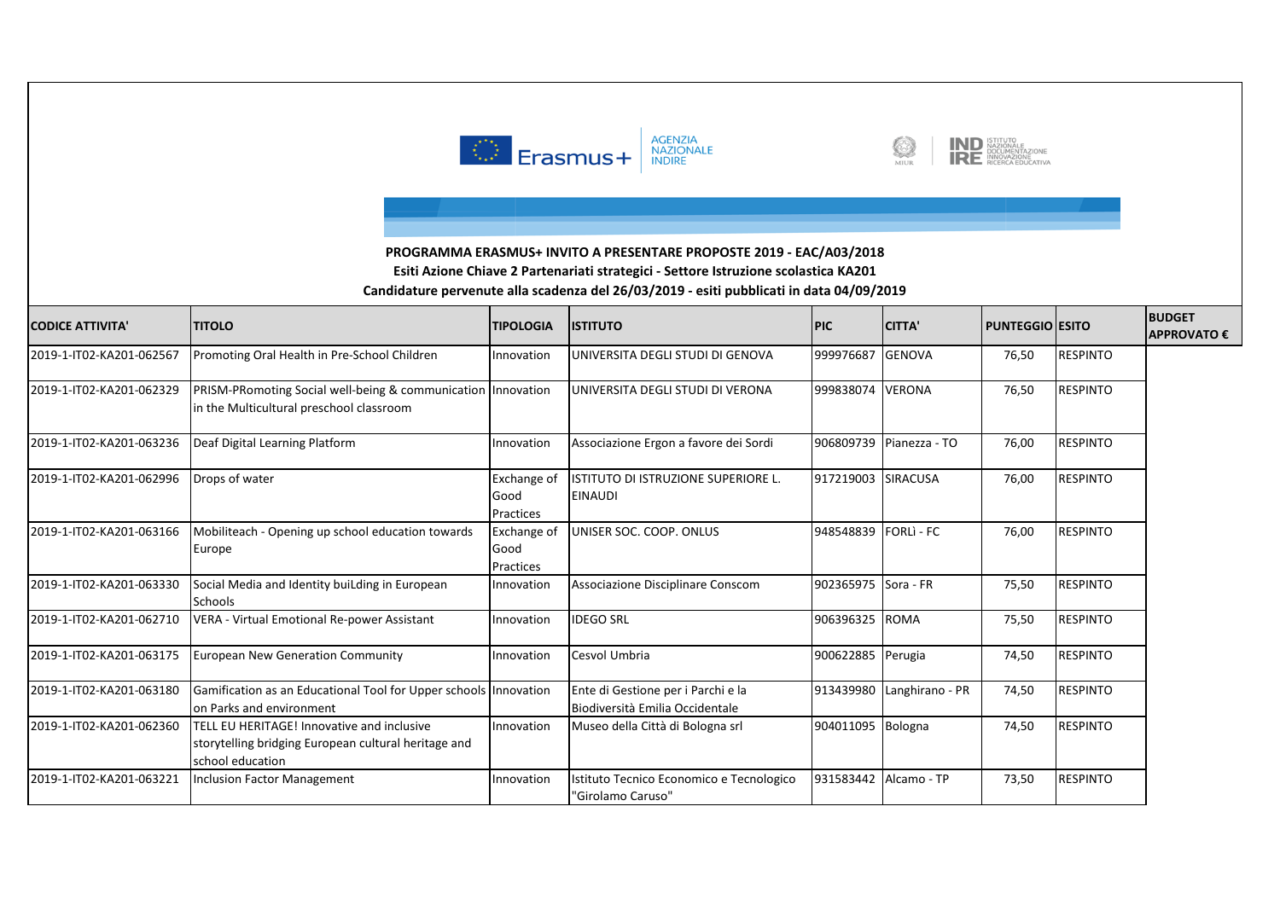





| <b>CODICE ATTIVITA'</b>  | <b>TITOLO</b>                                                                                                          | <b>TIPOLOGIA</b>                        | <b>ISTITUTO</b>                                                       | <b>PIC</b>            | <b>CITTA'</b>           | <b>PUNTEGGIO ESITO</b> |                 | <b>BUDGET</b><br><b>APPROVATO€</b> |
|--------------------------|------------------------------------------------------------------------------------------------------------------------|-----------------------------------------|-----------------------------------------------------------------------|-----------------------|-------------------------|------------------------|-----------------|------------------------------------|
| 2019-1-IT02-KA201-062567 | Promoting Oral Health in Pre-School Children                                                                           | Innovation                              | UNIVERSITA DEGLI STUDI DI GENOVA                                      | 999976687             | <b>GENOVA</b>           | 76,50                  | <b>RESPINTO</b> |                                    |
| 2019-1-IT02-KA201-062329 | PRISM-PRomoting Social well-being & communication Innovation<br>in the Multicultural preschool classroom               |                                         | UNIVERSITA DEGLI STUDI DI VERONA                                      | 999838074 VERONA      |                         | 76,50                  | <b>RESPINTO</b> |                                    |
| 2019-1-IT02-KA201-063236 | Deaf Digital Learning Platform                                                                                         | Innovation                              | Associazione Ergon a favore dei Sordi                                 |                       | 906809739 Pianezza - TO | 76,00                  | <b>RESPINTO</b> |                                    |
| 2019-1-IT02-KA201-062996 | Drops of water                                                                                                         | <b>Exchange of</b><br>Good<br>Practices | ISTITUTO DI ISTRUZIONE SUPERIORE L.<br><b>EINAUDI</b>                 | 917219003 SIRACUSA    |                         | 76,00                  | <b>RESPINTO</b> |                                    |
| 2019-1-IT02-KA201-063166 | Mobiliteach - Opening up school education towards<br>Europe                                                            | <b>Exchange of</b><br>Good<br>Practices | UNISER SOC. COOP. ONLUS                                               | 948548839             | <b>FORLI-FC</b>         | 76,00                  | <b>RESPINTO</b> |                                    |
| 2019-1-IT02-KA201-063330 | Social Media and Identity buiLding in European<br>Schools                                                              | Innovation                              | Associazione Disciplinare Conscom                                     | 902365975 Sora - FR   |                         | 75,50                  | <b>RESPINTO</b> |                                    |
| 2019-1-IT02-KA201-062710 | VERA - Virtual Emotional Re-power Assistant                                                                            | Innovation                              | <b>IDEGO SRL</b>                                                      | 906396325 ROMA        |                         | 75,50                  | <b>RESPINTO</b> |                                    |
| 2019-1-IT02-KA201-063175 | <b>European New Generation Community</b>                                                                               | Innovation                              | Cesvol Umbria                                                         | 900622885 Perugia     |                         | 74,50                  | <b>RESPINTO</b> |                                    |
| 2019-1-IT02-KA201-063180 | Gamification as an Educational Tool for Upper schools Innovation<br>on Parks and environment                           |                                         | Ente di Gestione per i Parchi e la<br>Biodiversità Emilia Occidentale | 913439980             | Langhirano - PR         | 74,50                  | <b>RESPINTO</b> |                                    |
| 2019-1-IT02-KA201-062360 | TELL EU HERITAGE! Innovative and inclusive<br>storytelling bridging European cultural heritage and<br>school education | Innovation                              | Museo della Città di Bologna srl                                      | 904011095 Bologna     |                         | 74,50                  | <b>RESPINTO</b> |                                    |
| 2019-1-IT02-KA201-063221 | <b>Inclusion Factor Management</b>                                                                                     | Innovation                              | Istituto Tecnico Economico e Tecnologico<br>"Girolamo Caruso"         | 931583442 Alcamo - TP |                         | 73,50                  | <b>RESPINTO</b> |                                    |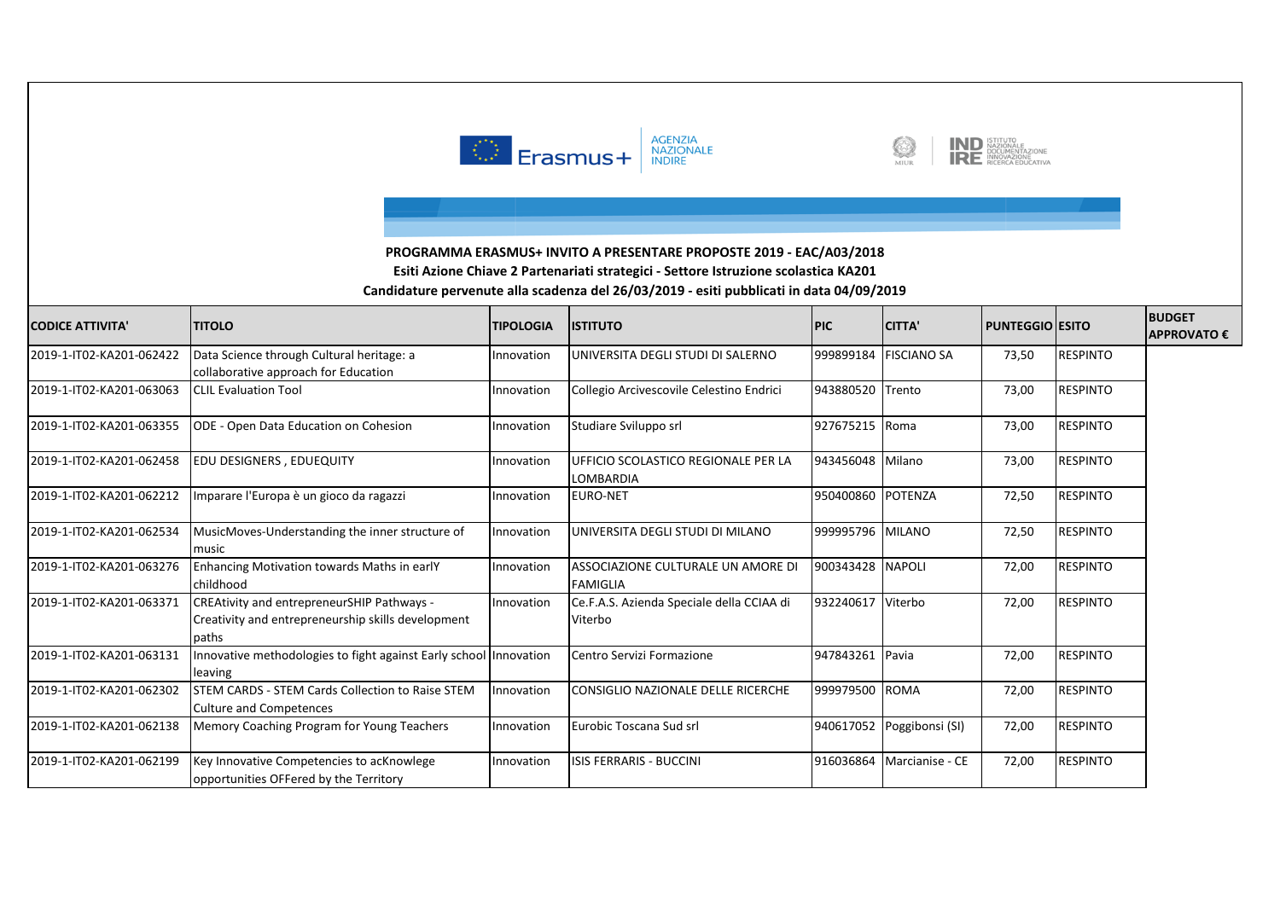

![](_page_7_Picture_1.jpeg)

![](_page_7_Picture_2.jpeg)

| <b>CODICE ATTIVITA'</b>  | <b>TITOLO</b>                                                                                             | <b>TIPOLOGIA</b> | <b>ISTITUTO</b>                                       | <b>PIC</b>        | <b>CITTA'</b>               | <b>PUNTEGGIO ESITO</b> |                 | <b>BUDGET</b><br><b>APPROVATO €</b> |
|--------------------------|-----------------------------------------------------------------------------------------------------------|------------------|-------------------------------------------------------|-------------------|-----------------------------|------------------------|-----------------|-------------------------------------|
| 2019-1-IT02-KA201-062422 | Data Science through Cultural heritage: a<br>collaborative approach for Education                         | Innovation       | UNIVERSITA DEGLI STUDI DI SALERNO                     | 999899184         | <b>FISCIANO SA</b>          | 73,50                  | <b>RESPINTO</b> |                                     |
| 2019-1-IT02-KA201-063063 | <b>CLIL Evaluation Tool</b>                                                                               | Innovation       | Collegio Arcivescovile Celestino Endrici              | 943880520 Trento  |                             | 73,00                  | <b>RESPINTO</b> |                                     |
| 2019-1-IT02-KA201-063355 | ODE - Open Data Education on Cohesion                                                                     | Innovation       | Studiare Sviluppo srl                                 | 927675215 Roma    |                             | 73,00                  | <b>RESPINTO</b> |                                     |
| 2019-1-IT02-KA201-062458 | EDU DESIGNERS, EDUEQUITY                                                                                  | Innovation       | UFFICIO SCOLASTICO REGIONALE PER LA<br>LOMBARDIA      | 943456048 Milano  |                             | 73,00                  | <b>RESPINTO</b> |                                     |
| 2019-1-IT02-KA201-062212 | Imparare l'Europa è un gioco da ragazzi                                                                   | Innovation       | <b>EURO-NET</b>                                       | 950400860 POTENZA |                             | 72,50                  | <b>RESPINTO</b> |                                     |
| 2019-1-IT02-KA201-062534 | MusicMoves-Understanding the inner structure of<br>music                                                  | Innovation       | UNIVERSITA DEGLI STUDI DI MILANO                      | 999995796 MILANO  |                             | 72,50                  | <b>RESPINTO</b> |                                     |
| 2019-1-IT02-KA201-063276 | Enhancing Motivation towards Maths in earlY<br>childhood                                                  | Innovation       | ASSOCIAZIONE CULTURALE UN AMORE DI<br><b>FAMIGLIA</b> | 900343428 NAPOLI  |                             | 72,00                  | <b>RESPINTO</b> |                                     |
| 2019-1-IT02-KA201-063371 | CREAtivity and entrepreneurSHIP Pathways -<br>Creativity and entrepreneurship skills development<br>paths | Innovation       | Ce.F.A.S. Azienda Speciale della CCIAA di<br>Viterbo  | 932240617         | Viterbo                     | 72,00                  | <b>RESPINTO</b> |                                     |
| 2019-1-IT02-KA201-063131 | Innovative methodologies to fight against Early school Innovation<br>leaving                              |                  | Centro Servizi Formazione                             | 947843261 Pavia   |                             | 72,00                  | <b>RESPINTO</b> |                                     |
| 2019-1-IT02-KA201-062302 | STEM CARDS - STEM Cards Collection to Raise STEM<br><b>Culture and Competences</b>                        | Innovation       | CONSIGLIO NAZIONALE DELLE RICERCHE                    | 999979500 ROMA    |                             | 72,00                  | <b>RESPINTO</b> |                                     |
| 2019-1-IT02-KA201-062138 | Memory Coaching Program for Young Teachers                                                                | Innovation       | Eurobic Toscana Sud srl                               |                   | 940617052 Poggibonsi (SI)   | 72,00                  | <b>RESPINTO</b> |                                     |
| 2019-1-IT02-KA201-062199 | Key Innovative Competencies to acKnowlege<br>opportunities OFFered by the Territory                       | Innovation       | <b>ISIS FERRARIS - BUCCINI</b>                        |                   | 916036864   Marcianise - CE | 72,00                  | <b>RESPINTO</b> |                                     |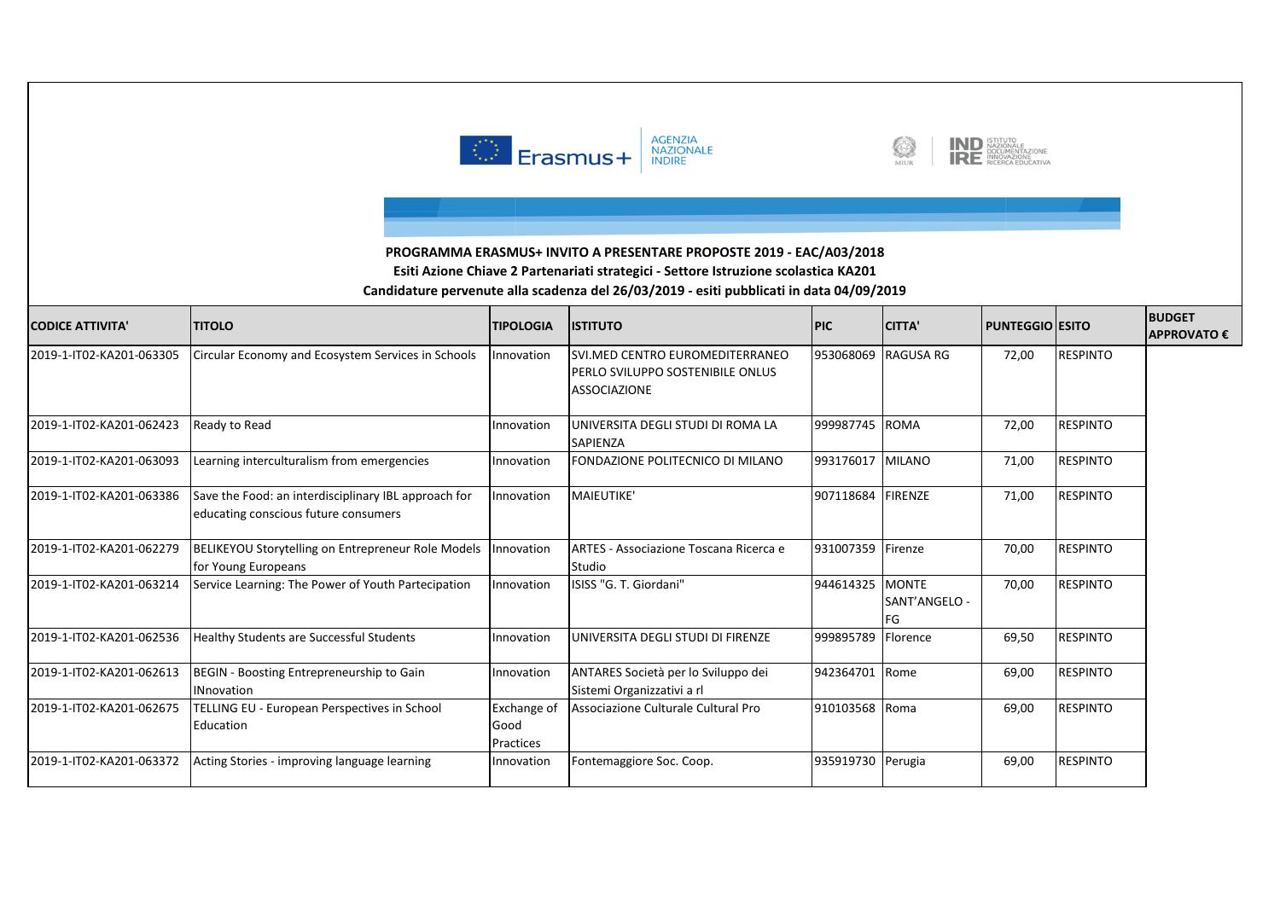![](_page_8_Picture_0.jpeg)

![](_page_8_Picture_1.jpeg)

![](_page_8_Picture_2.jpeg)

| <b>CODICE ATTIVITA'</b>  | <b>TITOLO</b>                                                                                | <b>TIPOLOGIA</b>                        | <b>ISTITUTO</b>                                                                             | <b>PIC</b>        | <b>CITTA'</b>         | <b>PUNTEGGIO ESITO</b> |                 | <b>BUDGET</b><br><b>APPROVATO€</b> |
|--------------------------|----------------------------------------------------------------------------------------------|-----------------------------------------|---------------------------------------------------------------------------------------------|-------------------|-----------------------|------------------------|-----------------|------------------------------------|
| 2019-1-IT02-KA201-063305 | Circular Economy and Ecosystem Services in Schools                                           | Innovation                              | SVI.MED CENTRO EUROMEDITERRANEO<br>IPERLO SVILUPPO SOSTENIBILE ONLUS<br><b>ASSOCIAZIONE</b> | 953068069         | <b>RAGUSA RG</b>      | 72,00                  | <b>RESPINTO</b> |                                    |
| 2019-1-IT02-KA201-062423 | Ready to Read                                                                                | Innovation                              | UNIVERSITA DEGLI STUDI DI ROMA LA<br><b>SAPIENZA</b>                                        | 999987745 ROMA    |                       | 72,00                  | <b>RESPINTO</b> |                                    |
| 2019-1-IT02-KA201-063093 | Learning interculturalism from emergencies                                                   | Innovation                              | FONDAZIONE POLITECNICO DI MILANO                                                            | 993176017         | <b>MILANO</b>         | 71,00                  | <b>RESPINTO</b> |                                    |
| 2019-1-IT02-KA201-063386 | Save the Food: an interdisciplinary IBL approach for<br>educating conscious future consumers | Innovation                              | MAIEUTIKE'                                                                                  | 907118684 FIRENZE |                       | 71,00                  | <b>RESPINTO</b> |                                    |
| 2019-1-IT02-KA201-062279 | <b>BELIKEYOU Storytelling on Entrepreneur Role Models</b><br>for Young Europeans             | Innovation                              | ARTES - Associazione Toscana Ricerca e<br>Studio                                            | 931007359         | Firenze               | 70,00                  | <b>RESPINTO</b> |                                    |
| 2019-1-IT02-KA201-063214 | Service Learning: The Power of Youth Partecipation                                           | Innovation                              | ISISS "G. T. Giordani"                                                                      | 944614325 MONTE   | SANT'ANGELO -<br>l FG | 70,00                  | <b>RESPINTO</b> |                                    |
| 2019-1-IT02-KA201-062536 | Healthy Students are Successful Students                                                     | Innovation                              | UNIVERSITA DEGLI STUDI DI FIRENZE                                                           | 999895789         | Florence              | 69,50                  | <b>RESPINTO</b> |                                    |
| 2019-1-IT02-KA201-062613 | BEGIN - Boosting Entrepreneurship to Gain<br><b>INnovation</b>                               | Innovation                              | ANTARES Società per lo Sviluppo dei<br>Sistemi Organizzativi a rl                           | 942364701         | Rome                  | 69,00                  | <b>RESPINTO</b> |                                    |
| 2019-1-IT02-KA201-062675 | <b>TELLING EU - European Perspectives in School</b><br>Education                             | <b>Exchange of</b><br>Good<br>Practices | Associazione Culturale Cultural Pro                                                         | 910103568 Roma    |                       | 69,00                  | <b>RESPINTO</b> |                                    |
| 2019-1-IT02-KA201-063372 | Acting Stories - improving language learning                                                 | Innovation                              | Fontemaggiore Soc. Coop.                                                                    | 935919730 Perugia |                       | 69,00                  | <b>RESPINTO</b> |                                    |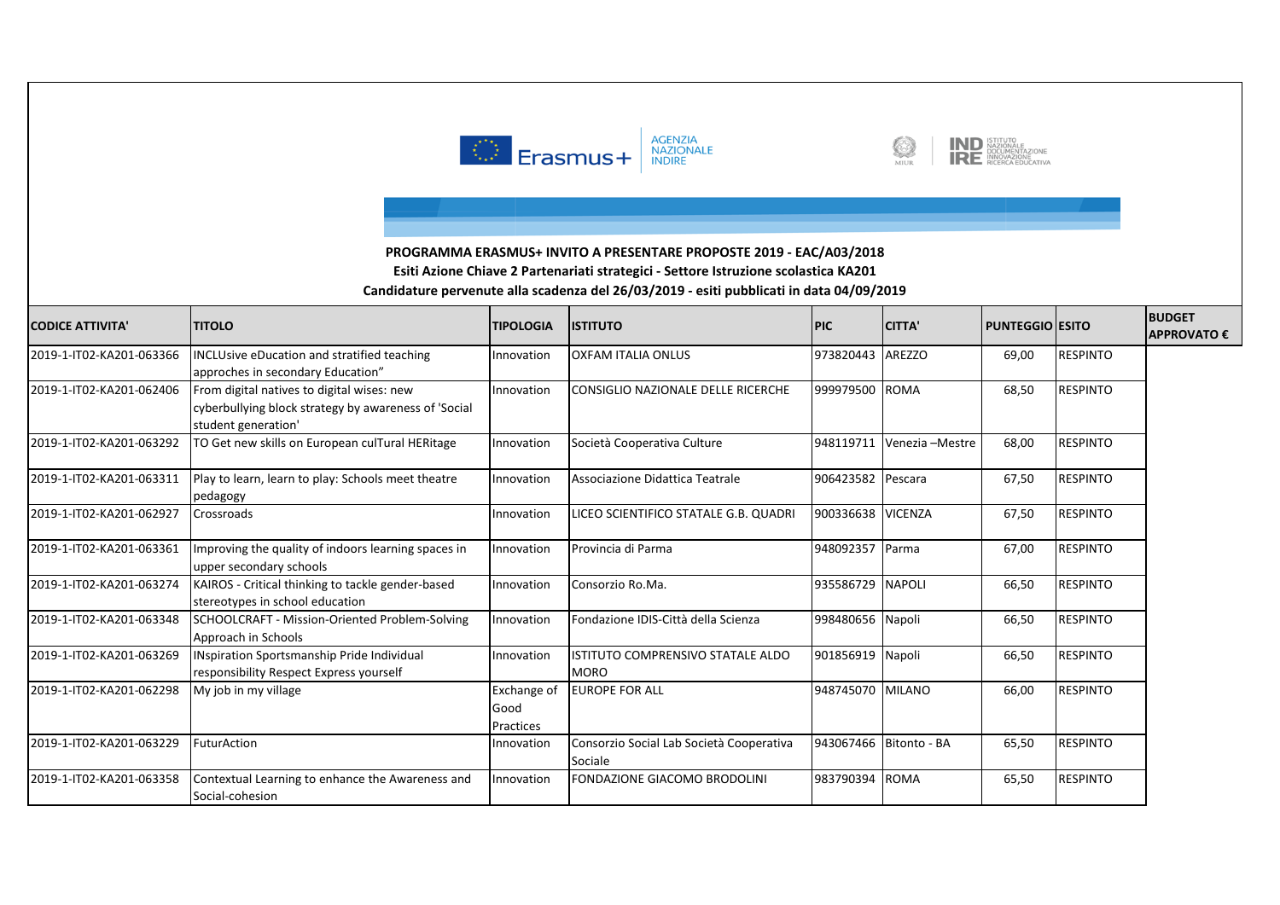![](_page_9_Picture_0.jpeg)

![](_page_9_Picture_1.jpeg)

![](_page_9_Picture_2.jpeg)

| <b>CODICE ATTIVITA'</b>  | <b>TITOLO</b>                                                                                                             | <b>TIPOLOGIA</b>                 | <b>ISTITUTO</b>                                     | <b>PIC</b>        | <b>CITTA'</b>   | <b>PUNTEGGIO ESITO</b> |                 | <b>BUDGET</b><br><b>APPROVATO€</b> |
|--------------------------|---------------------------------------------------------------------------------------------------------------------------|----------------------------------|-----------------------------------------------------|-------------------|-----------------|------------------------|-----------------|------------------------------------|
| 2019-1-IT02-KA201-063366 | <b>INCLUsive eDucation and stratified teaching</b><br>approches in secondary Education"                                   | Innovation                       | <b>OXFAM ITALIA ONLUS</b>                           | 973820443         | AREZZO          | 69,00                  | <b>RESPINTO</b> |                                    |
| 2019-1-IT02-KA201-062406 | From digital natives to digital wises: new<br>cyberbullying block strategy by awareness of 'Social<br>student generation' | Innovation                       | CONSIGLIO NAZIONALE DELLE RICERCHE                  | 999979500         | <b>ROMA</b>     | 68,50                  | <b>RESPINTO</b> |                                    |
| 2019-1-IT02-KA201-063292 | TO Get new skills on European culTural HERitage                                                                           | Innovation                       | Società Cooperativa Culture                         | 948119711         | Venezia -Mestre | 68,00                  | <b>RESPINTO</b> |                                    |
| 2019-1-IT02-KA201-063311 | Play to learn, learn to play: Schools meet theatre<br>pedagogy                                                            | Innovation                       | Associazione Didattica Teatrale                     | 906423582         | Pescara         | 67,50                  | <b>RESPINTO</b> |                                    |
| 2019-1-IT02-KA201-062927 | Crossroads                                                                                                                | Innovation                       | LICEO SCIENTIFICO STATALE G.B. QUADRI               | 900336638 VICENZA |                 | 67,50                  | <b>RESPINTO</b> |                                    |
| 2019-1-IT02-KA201-063361 | Improving the quality of indoors learning spaces in<br>upper secondary schools                                            | Innovation                       | Provincia di Parma                                  | 948092357         | Parma           | 67,00                  | <b>RESPINTO</b> |                                    |
| 2019-1-IT02-KA201-063274 | KAIROS - Critical thinking to tackle gender-based<br>stereotypes in school education                                      | Innovation                       | Consorzio Ro.Ma.                                    | 935586729         | <b>NAPOLI</b>   | 66,50                  | <b>RESPINTO</b> |                                    |
| 2019-1-IT02-KA201-063348 | SCHOOLCRAFT - Mission-Oriented Problem-Solving<br>Approach in Schools                                                     | Innovation                       | Fondazione IDIS-Città della Scienza                 | 998480656 Napoli  |                 | 66,50                  | <b>RESPINTO</b> |                                    |
| 2019-1-IT02-KA201-063269 | INspiration Sportsmanship Pride Individual<br>responsibility Respect Express yourself                                     | Innovation                       | ISTITUTO COMPRENSIVO STATALE ALDO<br><b>MORO</b>    | 901856919 Napoli  |                 | 66,50                  | <b>RESPINTO</b> |                                    |
| 2019-1-IT02-KA201-062298 | My job in my village                                                                                                      | Exchange of<br>Good<br>Practices | <b>EUROPE FOR ALL</b>                               | 948745070 MILANO  |                 | 66,00                  | <b>RESPINTO</b> |                                    |
| 2019-1-IT02-KA201-063229 | FuturAction                                                                                                               | Innovation                       | Consorzio Social Lab Società Cooperativa<br>Sociale | 943067466         | Bitonto - BA    | 65,50                  | <b>RESPINTO</b> |                                    |
| 2019-1-IT02-KA201-063358 | Contextual Learning to enhance the Awareness and<br>Social-cohesion                                                       | Innovation                       | <b>FONDAZIONE GIACOMO BRODOLINI</b>                 | 983790394         | <b>ROMA</b>     | 65,50                  | <b>RESPINTO</b> |                                    |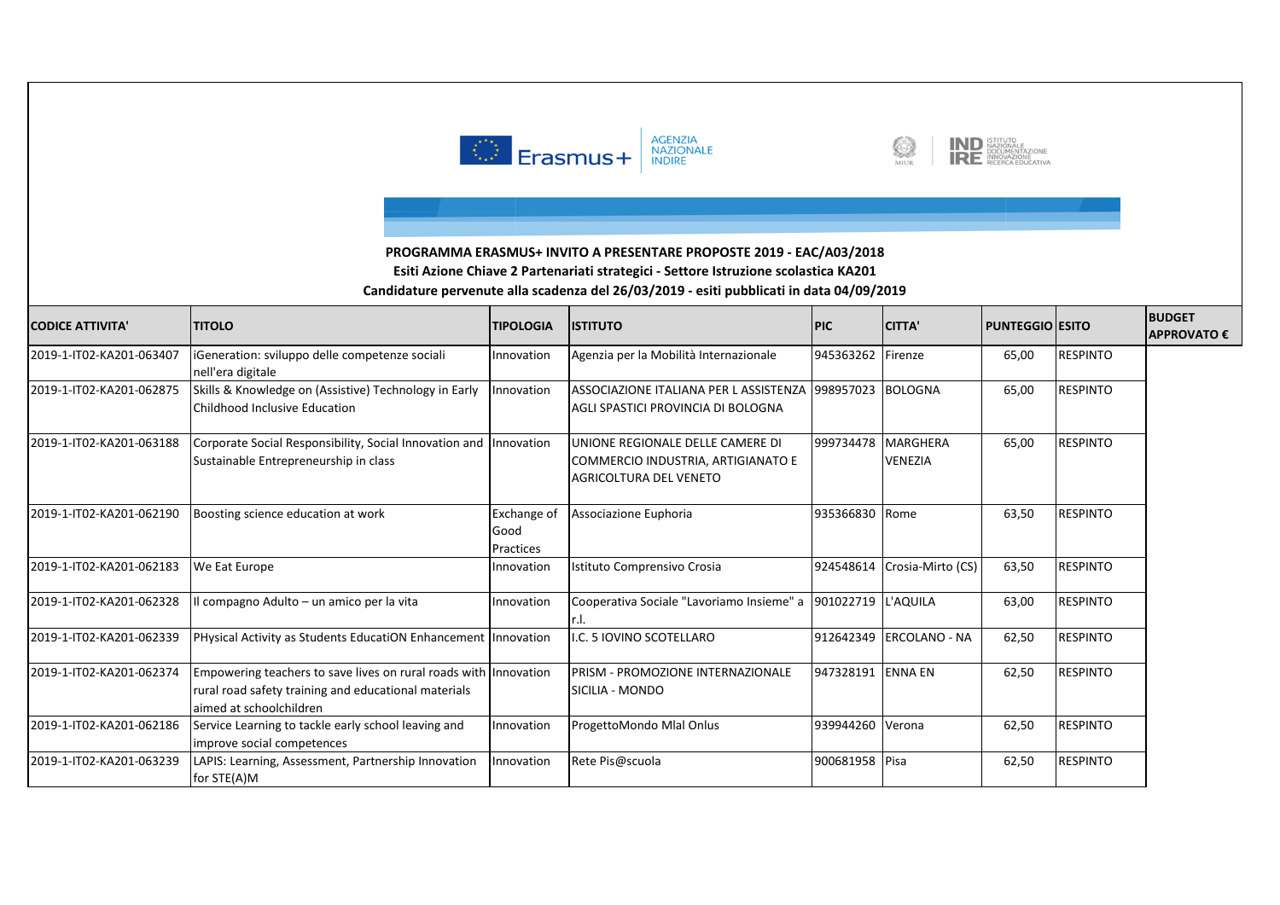![](_page_10_Picture_0.jpeg)

![](_page_10_Picture_1.jpeg)

![](_page_10_Picture_2.jpeg)

| <b>CODICE ATTIVITA'</b>  | <b>TITOLO</b>                                                                                                                                       | <b>TIPOLOGIA</b>                 | <b>ISTITUTO</b>                                                                                         | <b>PIC</b>        | <b>CITTA'</b>                     | PUNTEGGIO   ESITO |                 | <b>BUDGET</b><br><b>APPROVATO€</b> |
|--------------------------|-----------------------------------------------------------------------------------------------------------------------------------------------------|----------------------------------|---------------------------------------------------------------------------------------------------------|-------------------|-----------------------------------|-------------------|-----------------|------------------------------------|
| 2019-1-IT02-KA201-063407 | iGeneration: sviluppo delle competenze sociali<br>nell'era digitale                                                                                 | Innovation                       | Agenzia per la Mobilità Internazionale                                                                  | 945363262         | Firenze                           | 65,00             | <b>RESPINTO</b> |                                    |
| 2019-1-IT02-KA201-062875 | Skills & Knowledge on (Assistive) Technology in Early<br>Childhood Inclusive Education                                                              | Innovation                       | ASSOCIAZIONE ITALIANA PER L ASSISTENZA 1998957023 BOLOGNA<br>lagli spastici provincia di Bologna        |                   |                                   | 65,00             | <b>RESPINTO</b> |                                    |
| 2019-1-IT02-KA201-063188 | Corporate Social Responsibility, Social Innovation and Innovation<br>Sustainable Entrepreneurship in class                                          |                                  | UNIONE REGIONALE DELLE CAMERE DI<br>COMMERCIO INDUSTRIA, ARTIGIANATO E<br><b>AGRICOLTURA DEL VENETO</b> | 999734478         | <b>MARGHERA</b><br><b>VENEZIA</b> | 65,00             | <b>RESPINTO</b> |                                    |
| 2019-1-IT02-KA201-062190 | Boosting science education at work                                                                                                                  | Exchange of<br>Good<br>Practices | Associazione Euphoria                                                                                   | 935366830 Rome    |                                   | 63,50             | <b>RESPINTO</b> |                                    |
| 2019-1-IT02-KA201-062183 | We Eat Europe                                                                                                                                       | Innovation                       | Istituto Comprensivo Crosia                                                                             | 924548614         | Crosia-Mirto (CS)                 | 63,50             | <b>RESPINTO</b> |                                    |
| 2019-1-IT02-KA201-062328 | Il compagno Adulto - un amico per la vita                                                                                                           | Innovation                       | Cooperativa Sociale "Lavoriamo Insieme" a                                                               | 901022719         | L'AQUILA                          | 63,00             | <b>RESPINTO</b> |                                    |
| 2019-1-IT02-KA201-062339 | PHysical Activity as Students EducatiON Enhancement   Innovation                                                                                    |                                  | .C. 5 IOVINO SCOTELLARO                                                                                 |                   | 912642349 ERCOLANO - NA           | 62,50             | <b>RESPINTO</b> |                                    |
| 2019-1-IT02-KA201-062374 | Empowering teachers to save lives on rural roads with Innovation<br>rural road safety training and educational materials<br>aimed at schoolchildren |                                  | PRISM - PROMOZIONE INTERNAZIONALE<br>SICILIA - MONDO                                                    | 947328191 ENNA EN |                                   | 62,50             | <b>RESPINTO</b> |                                    |
| 2019-1-IT02-KA201-062186 | Service Learning to tackle early school leaving and<br>improve social competences                                                                   | Innovation                       | ProgettoMondo Mlal Onlus                                                                                | 939944260 Verona  |                                   | 62,50             | <b>RESPINTO</b> |                                    |
| 2019-1-IT02-KA201-063239 | LAPIS: Learning, Assessment, Partnership Innovation<br>for STE(A)M                                                                                  | Innovation                       | Rete Pis@scuola                                                                                         | 900681958 Pisa    |                                   | 62,50             | <b>RESPINTO</b> |                                    |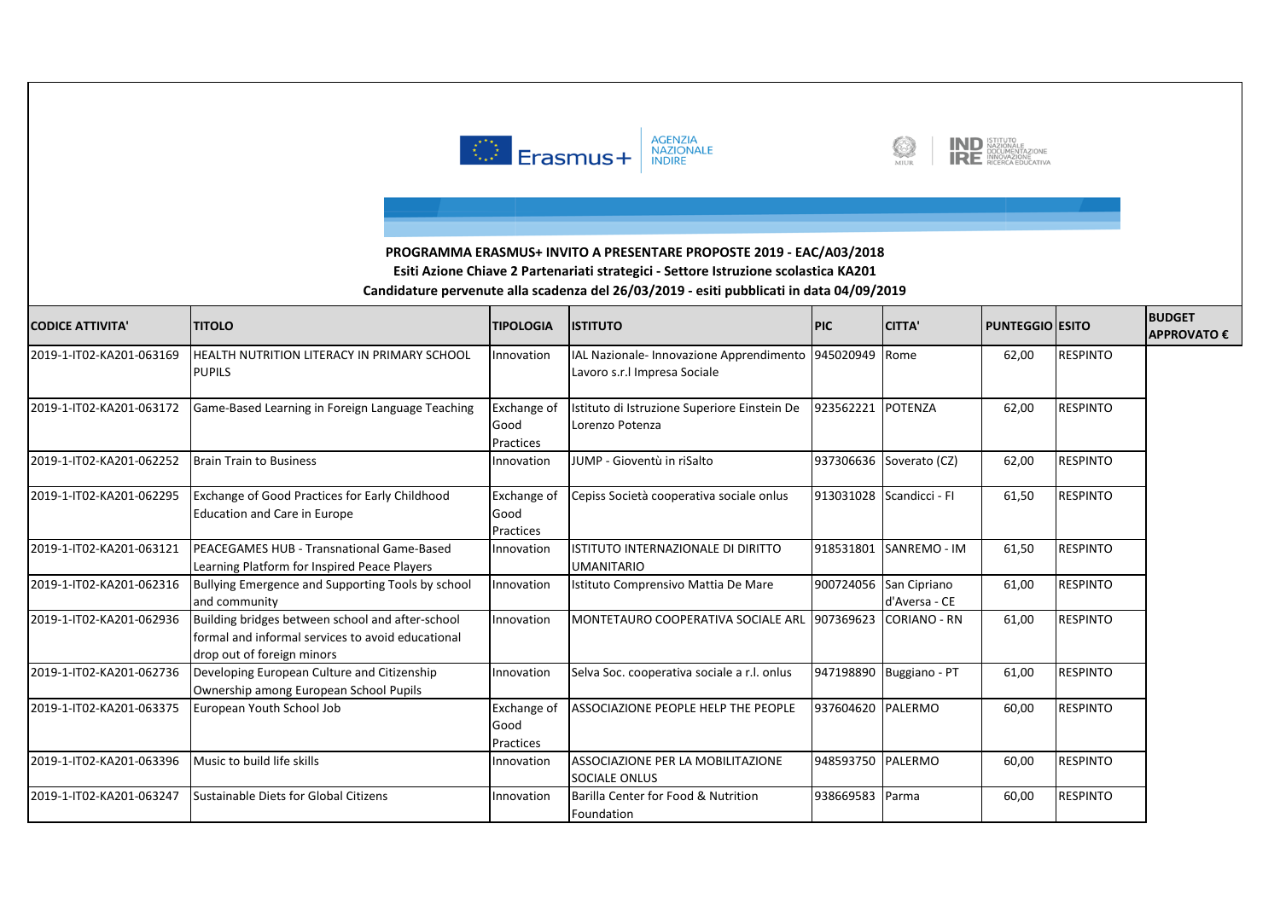![](_page_11_Picture_0.jpeg)

![](_page_11_Picture_1.jpeg)

![](_page_11_Picture_2.jpeg)

| <b>CODICE ATTIVITA'</b>  | <b>TITOLO</b>                                                                                                                        | <b>TIPOLOGIA</b>                        | <b>ISTITUTO</b>                                                                         | <b>PIC</b>        | <b>CITTA'</b>                           | <b>PUNTEGGIO ESITO</b> |                 | <b>BUDGET</b><br><b>APPROVATO€</b> |
|--------------------------|--------------------------------------------------------------------------------------------------------------------------------------|-----------------------------------------|-----------------------------------------------------------------------------------------|-------------------|-----------------------------------------|------------------------|-----------------|------------------------------------|
| 2019-1-IT02-KA201-063169 | HEALTH NUTRITION LITERACY IN PRIMARY SCHOOL<br><b>PUPILS</b>                                                                         | Innovation                              | IAL Nazionale- Innovazione Apprendimento 945020949 Rome<br>Lavoro s.r.l Impresa Sociale |                   |                                         | 62,00                  | <b>RESPINTO</b> |                                    |
| 2019-1-IT02-KA201-063172 | Game-Based Learning in Foreign Language Teaching                                                                                     | <b>Exchange of</b><br>Good<br>Practices | Istituto di Istruzione Superiore Einstein De<br>Lorenzo Potenza                         | 923562221         | POTENZA                                 | 62,00                  | <b>RESPINTO</b> |                                    |
| 2019-1-IT02-KA201-062252 | <b>Brain Train to Business</b>                                                                                                       | Innovation                              | JUMP - Gioventù in riSalto                                                              |                   | 937306636 Soverato (CZ)                 | 62,00                  | <b>RESPINTO</b> |                                    |
| 2019-1-IT02-KA201-062295 | Exchange of Good Practices for Early Childhood<br><b>Education and Care in Europe</b>                                                | <b>Exchange of</b><br>Good<br>Practices | Cepiss Società cooperativa sociale onlus                                                |                   | 913031028 Scandicci - FI                | 61,50                  | <b>RESPINTO</b> |                                    |
| 2019-1-IT02-KA201-063121 | PEACEGAMES HUB - Transnational Game-Based<br>Learning Platform for Inspired Peace Players                                            | Innovation                              | ISTITUTO INTERNAZIONALE DI DIRITTO<br><b>UMANITARIO</b>                                 | 918531801         | SANREMO - IM                            | 61,50                  | <b>RESPINTO</b> |                                    |
| 2019-1-IT02-KA201-062316 | Bullying Emergence and Supporting Tools by school<br>and community                                                                   | Innovation                              | Istituto Comprensivo Mattia De Mare                                                     |                   | 900724056 San Cipriano<br>d'Aversa - CE | 61,00                  | <b>RESPINTO</b> |                                    |
| 2019-1-IT02-KA201-062936 | Building bridges between school and after-school<br>Iformal and informal services to avoid educational<br>drop out of foreign minors | Innovation                              | MONTETAURO COOPERATIVA SOCIALE ARL 1907369623                                           |                   | <b>CORIANO - RN</b>                     | 61,00                  | <b>RESPINTO</b> |                                    |
| 2019-1-IT02-KA201-062736 | Developing European Culture and Citizenship<br>Ownership among European School Pupils                                                | Innovation                              | Selva Soc. cooperativa sociale a r.l. onlus                                             |                   | 947198890 Buggiano - PT                 | 61,00                  | <b>RESPINTO</b> |                                    |
| 2019-1-IT02-KA201-063375 | European Youth School Job                                                                                                            | <b>Exchange of</b><br>Good<br>Practices | ASSOCIAZIONE PEOPLE HELP THE PEOPLE                                                     | 937604620 PALERMO |                                         | 60,00                  | <b>RESPINTO</b> |                                    |
| 2019-1-IT02-KA201-063396 | Music to build life skills                                                                                                           | Innovation                              | ASSOCIAZIONE PER LA MOBILITAZIONE<br><b>SOCIALE ONLUS</b>                               | 948593750 PALERMO |                                         | 60,00                  | <b>RESPINTO</b> |                                    |
| 2019-1-IT02-KA201-063247 | Sustainable Diets for Global Citizens                                                                                                | Innovation                              | Barilla Center for Food & Nutrition<br>Foundation                                       | 938669583 Parma   |                                         | 60,00                  | <b>RESPINTO</b> |                                    |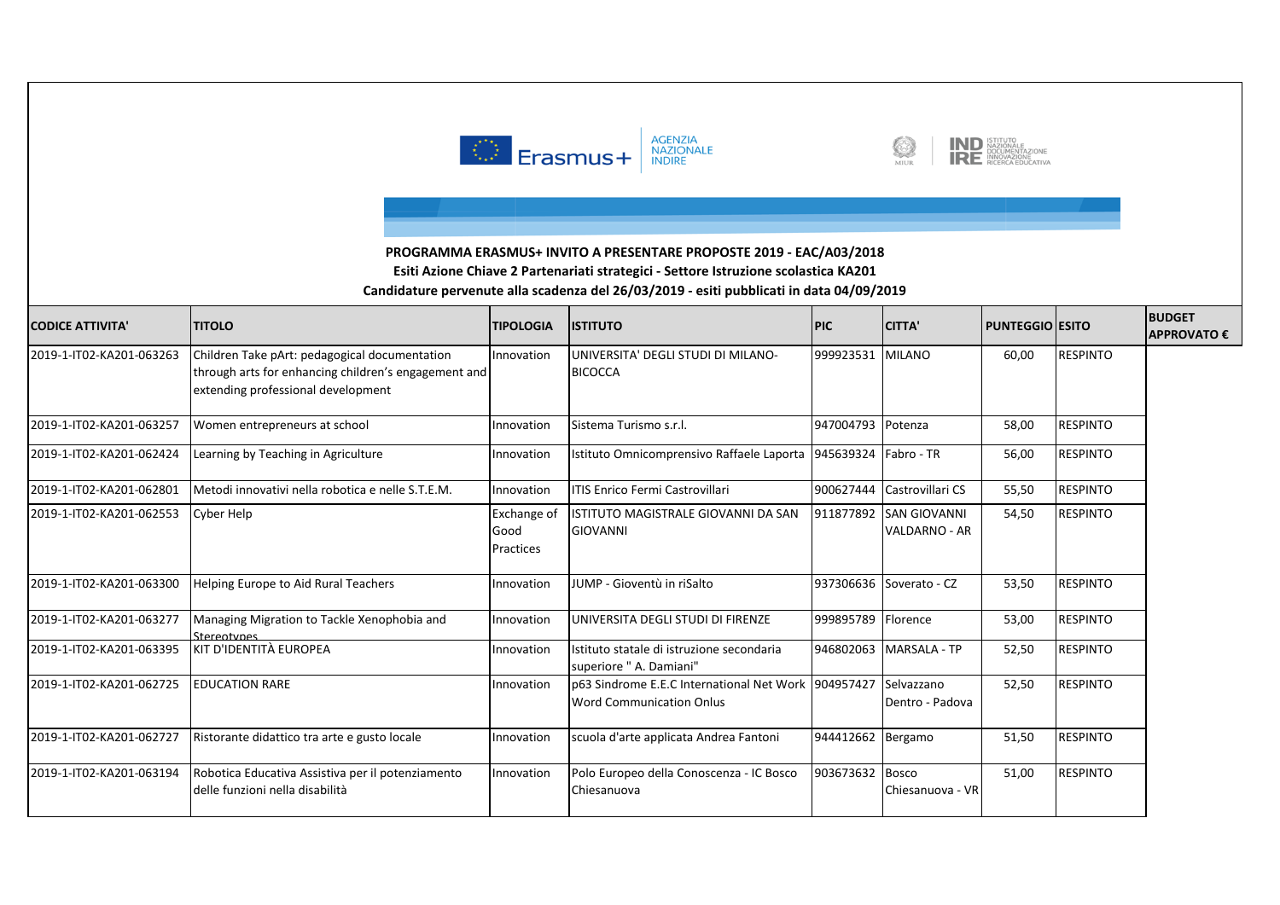![](_page_12_Picture_0.jpeg)

![](_page_12_Picture_1.jpeg)

![](_page_12_Picture_2.jpeg)

| <b>CODICE ATTIVITA'</b>  | <b>TITOLO</b>                                                                                                                               | <b>TIPOLOGIA</b>                        | <b>ISTITUTO</b>                                                                        | <b>PIC</b>         | <b>CITTA'</b>                               | <b>PUNTEGGIO ESITO</b> |                 | <b>BUDGET</b><br><b>APPROVATO€</b> |
|--------------------------|---------------------------------------------------------------------------------------------------------------------------------------------|-----------------------------------------|----------------------------------------------------------------------------------------|--------------------|---------------------------------------------|------------------------|-----------------|------------------------------------|
| 2019-1-IT02-KA201-063263 | Children Take pArt: pedagogical documentation<br>through arts for enhancing children's engagement and<br>extending professional development | Innovation                              | UNIVERSITA' DEGLI STUDI DI MILANO-<br><b>BICOCCA</b>                                   | 999923531 MILANO   |                                             | 60,00                  | <b>RESPINTO</b> |                                    |
| 2019-1-IT02-KA201-063257 | Women entrepreneurs at school                                                                                                               | Innovation                              | Sistema Turismo s.r.l.                                                                 | 947004793 Potenza  |                                             | 58,00                  | <b>RESPINTO</b> |                                    |
| 2019-1-IT02-KA201-062424 | Learning by Teaching in Agriculture                                                                                                         | Innovation                              | Istituto Omnicomprensivo Raffaele Laporta   945639324   Fabro - TR                     |                    |                                             | 56,00                  | <b>RESPINTO</b> |                                    |
| 2019-1-IT02-KA201-062801 | Metodi innovativi nella robotica e nelle S.T.E.M.                                                                                           | Innovation                              | ITIS Enrico Fermi Castrovillari                                                        |                    | 900627444 Castrovillari CS                  | 55,50                  | <b>RESPINTO</b> |                                    |
| 2019-1-IT02-KA201-062553 | Cyber Help                                                                                                                                  | <b>Exchange of</b><br>Good<br>Practices | ISTITUTO MAGISTRALE GIOVANNI DA SAN<br><b>GIOVANNI</b>                                 | 911877892          | <b>SAN GIOVANNI</b><br><b>VALDARNO - AR</b> | 54,50                  | <b>RESPINTO</b> |                                    |
| 2019-1-IT02-KA201-063300 | Helping Europe to Aid Rural Teachers                                                                                                        | Innovation                              | JUMP - Gioventù in riSalto                                                             |                    | 937306636 Soverato - CZ                     | 53,50                  | <b>RESPINTO</b> |                                    |
| 2019-1-IT02-KA201-063277 | Managing Migration to Tackle Xenophobia and<br>Sterentynes                                                                                  | Innovation                              | UNIVERSITA DEGLI STUDI DI FIRENZE                                                      | 999895789 Florence |                                             | 53,00                  | <b>RESPINTO</b> |                                    |
| 2019-1-IT02-KA201-063395 | IKIT D'IDENTITÀ EUROPEA                                                                                                                     | Innovation                              | Istituto statale di istruzione secondaria<br>superiore " A. Damiani"                   |                    | 946802063 MARSALA - TP                      | 52,50                  | <b>RESPINTO</b> |                                    |
| 2019-1-IT02-KA201-062725 | <b>EDUCATION RARE</b>                                                                                                                       | Innovation                              | p63 Sindrome E.E.C International Net Work 904957427<br><b>Word Communication Onlus</b> |                    | Selvazzano<br>Dentro - Padova               | 52,50                  | <b>RESPINTO</b> |                                    |
| 2019-1-IT02-KA201-062727 | Ristorante didattico tra arte e gusto locale                                                                                                | Innovation                              | scuola d'arte applicata Andrea Fantoni                                                 | 944412662 Bergamo  |                                             | 51,50                  | <b>RESPINTO</b> |                                    |
| 2019-1-IT02-KA201-063194 | Robotica Educativa Assistiva per il potenziamento<br>delle funzioni nella disabilità                                                        | Innovation                              | Polo Europeo della Conoscenza - IC Bosco<br>Chiesanuova                                | 903673632 Bosco    | Chiesanuova - VR                            | 51,00                  | <b>RESPINTO</b> |                                    |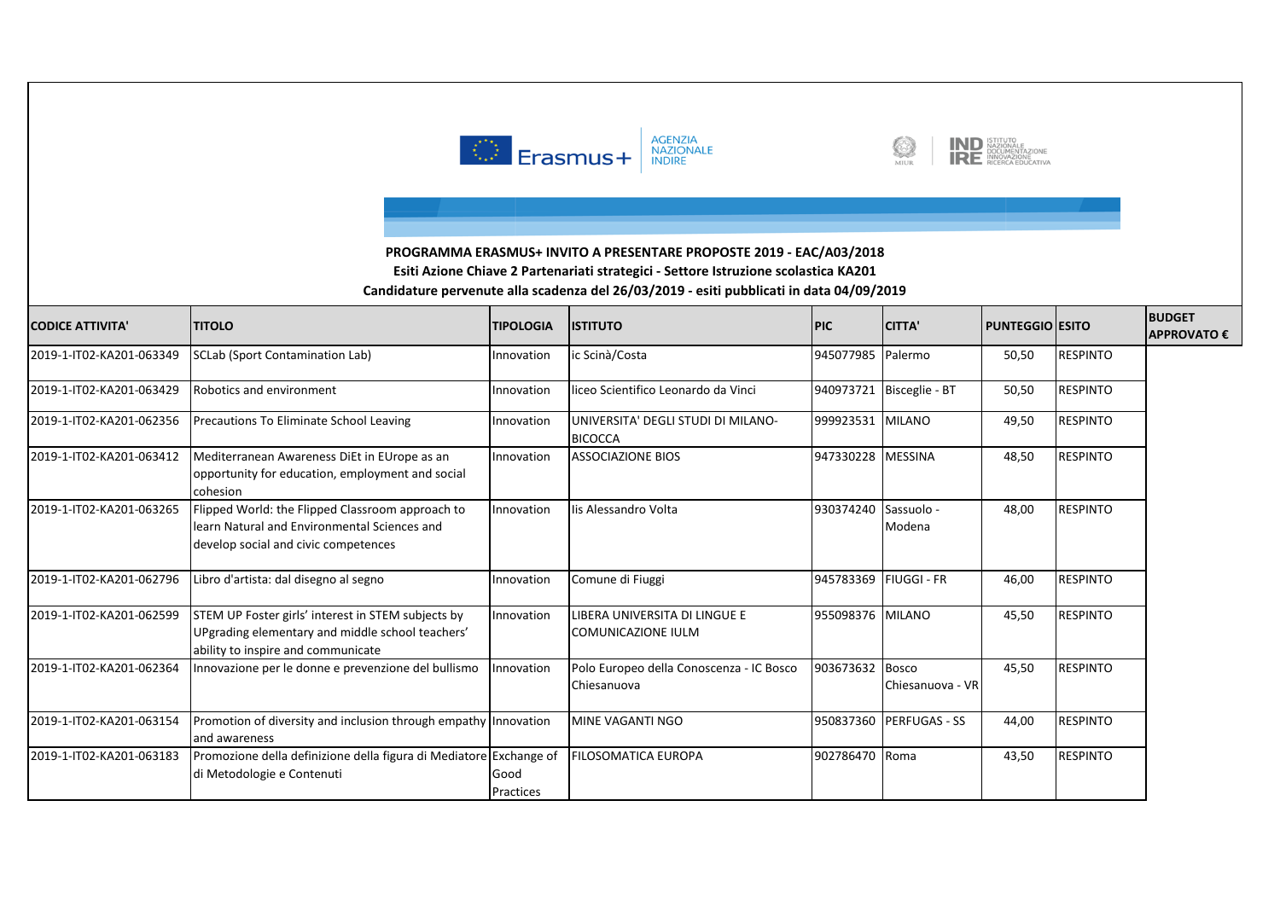![](_page_13_Picture_0.jpeg)

![](_page_13_Picture_1.jpeg)

![](_page_13_Picture_2.jpeg)

| <b>CODICE ATTIVITA'</b>  | <b>TITOLO</b>                                                                                                                                | <b>TIPOLOGIA</b>  | <b>ISTITUTO</b>                                            | <b>PIC</b>        | <b>CITTA'</b>           | PUNTEGGIO   ESITO |                 | <b>BUDGET</b><br><b>APPROVATO €</b> |
|--------------------------|----------------------------------------------------------------------------------------------------------------------------------------------|-------------------|------------------------------------------------------------|-------------------|-------------------------|-------------------|-----------------|-------------------------------------|
| 2019-1-IT02-KA201-063349 | <b>SCLab (Sport Contamination Lab)</b>                                                                                                       | Innovation        | ic Scinà/Costa                                             | 945077985 Palermo |                         | 50,50             | <b>RESPINTO</b> |                                     |
| 2019-1-IT02-KA201-063429 | Robotics and environment                                                                                                                     | Innovation        | liceo Scientifico Leonardo da Vinci                        | 940973721         | Bisceglie - BT          | 50,50             | <b>RESPINTO</b> |                                     |
| 2019-1-IT02-KA201-062356 | Precautions To Eliminate School Leaving                                                                                                      | Innovation        | UNIVERSITA' DEGLI STUDI DI MILANO-<br><b>BICOCCA</b>       | 999923531 MILANO  |                         | 49,50             | <b>RESPINTO</b> |                                     |
| 2019-1-IT02-KA201-063412 | Mediterranean Awareness DiEt in EUrope as an<br>opportunity for education, employment and social<br>cohesion                                 | Innovation        | <b>ASSOCIAZIONE BIOS</b>                                   | 947330228         | <b>MESSINA</b>          | 48,50             | <b>RESPINTO</b> |                                     |
| 2019-1-IT02-KA201-063265 | Flipped World: the Flipped Classroom approach to<br>learn Natural and Environmental Sciences and<br>develop social and civic competences     | Innovation        | lis Alessandro Volta                                       | 930374240         | Sassuolo -<br>Modena    | 48,00             | <b>RESPINTO</b> |                                     |
| 2019-1-IT02-KA201-062796 | Libro d'artista: dal disegno al segno                                                                                                        | Innovation        | Comune di Fiuggi                                           | 945783369         | <b>FIUGGI - FR</b>      | 46,00             | <b>RESPINTO</b> |                                     |
| 2019-1-IT02-KA201-062599 | STEM UP Foster girls' interest in STEM subjects by<br>UPgrading elementary and middle school teachers'<br>ability to inspire and communicate | Innovation        | LIBERA UNIVERSITA DI LINGUE E<br><b>COMUNICAZIONE IULM</b> | 955098376 MILANO  |                         | 45,50             | <b>RESPINTO</b> |                                     |
| 2019-1-IT02-KA201-062364 | Innovazione per le donne e prevenzione del bullismo                                                                                          | Innovation        | Polo Europeo della Conoscenza - IC Bosco<br>Chiesanuova    | 903673632 Bosco   | Chiesanuova - VR        | 45,50             | <b>RESPINTO</b> |                                     |
| 2019-1-IT02-KA201-063154 | Promotion of diversity and inclusion through empathy Innovation<br>and awareness                                                             |                   | MINE VAGANTI NGO                                           |                   | 950837360 PERFUGAS - SS | 44,00             | <b>RESPINTO</b> |                                     |
| 2019-1-IT02-KA201-063183 | Promozione della definizione della figura di Mediatore Exchange of<br>di Metodologie e Contenuti                                             | Good<br>Practices | FILOSOMATICA EUROPA                                        | 902786470         | Roma                    | 43,50             | <b>RESPINTO</b> |                                     |